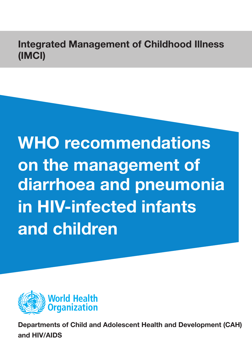**Integrated Management of Childhood Illness (IMCI)**

**WHO recommendations on the management of diarrhoea and pneumonia in HIV-infected infants and children**



**Departments of Child and Adolescent Health and Development (CAH) and HIV/AIDS**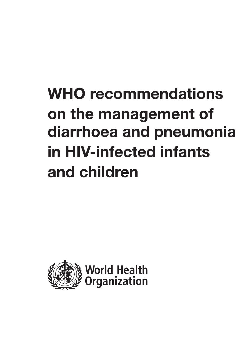# **WHO recommendations** on the management of diarrhoea and pneumonia in HIV-infected infants and children

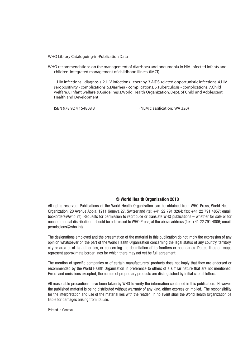WHO Library Cataloguing-in-Publication Data

WHO recommendations on the management of diarrhoea and pneumonia in HIV-infected infants and children: integrated management of childhood illness (IMCI).

1.HIV infections - diagnosis. 2.HIV infections - therapy. 3.AIDS-related opportunistic infections. 4.HIV seropositivity - complications. 5.Diarrhea - complications. 6.Tuberculosis - complications. 7.Child welfare. 8.Infant welfare. 9.Guidelines. I.World Health Organization. Dept. of Child and Adolescent Health and Development

ISBN 978 92 4 154808 3 (NLM classification: WA 320)

### **© World Health Organization 2010**

All rights reserved. Publications of the World Health Organization can be obtained from WHO Press, World Health Organization, 20 Avenue Appia, 1211 Geneva 27, Switzerland (tel: +41 22 791 3264; fax: +41 22 791 4857; email: bookorders@who.int). Requests for permission to reproduce or translate WHO publications – whether for sale or for noncommercial distribution – should be addressed to WHO Press, at the above address (fax: +41 22 791 4806; email: permissions@who.int).

The designations employed and the presentation of the material in this publication do not imply the expression of any opinion whatsoever on the part of the World Health Organization concerning the legal status of any country, territory, city or area or of its authorities, or concerning the delimitation of its frontiers or boundaries. Dotted lines on maps represent approximate border lines for which there may not yet be full agreement.

The mention of specific companies or of certain manufacturers' products does not imply that they are endorsed or recommended by the World Health Organization in preference to others of a similar nature that are not mentioned. Errors and omissions excepted, the names of proprietary products are distinguished by initial capital letters.

All reasonable precautions have been taken by WHO to verify the information contained in this publication. However, the published material is being distributed without warranty of any kind, either express or implied. The responsibility for the interpretation and use of the material lies with the reader. In no event shall the World Health Organization be liable for damages arising from its use.

Printed in Geneva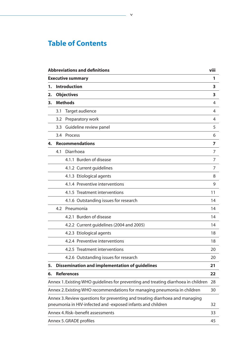# **Table of Contents**

|    |                        | <b>Abbreviations and definitions</b>                                                                                                        | viii |
|----|------------------------|---------------------------------------------------------------------------------------------------------------------------------------------|------|
|    |                        | <b>Executive summary</b>                                                                                                                    | 1    |
| 1. |                        | <b>Introduction</b>                                                                                                                         | 3    |
| 2. | <b>Objectives</b>      |                                                                                                                                             |      |
| 3. |                        | <b>Methods</b>                                                                                                                              | 4    |
|    | Target audience<br>3.1 |                                                                                                                                             |      |
|    |                        | 3.2 Preparatory work                                                                                                                        | 4    |
|    |                        | 3.3 Guideline review panel                                                                                                                  | 5    |
|    |                        | 3.4 Process                                                                                                                                 | 6    |
| 4. |                        | <b>Recommendations</b>                                                                                                                      | 7    |
|    | 4.1                    | Diarrhoea                                                                                                                                   | 7    |
|    |                        | 4.1.1 Burden of disease                                                                                                                     | 7    |
|    |                        | 4.1.2 Current guidelines                                                                                                                    | 7    |
|    |                        | 4.1.3 Etiological agents                                                                                                                    | 8    |
|    |                        | 4.1.4 Preventive interventions                                                                                                              | 9    |
|    |                        | 4.1.5 Treatment interventions                                                                                                               | 11   |
|    |                        | 4.1.6 Outstanding issues for research                                                                                                       | 14   |
|    |                        | 4.2 Pneumonia                                                                                                                               | 14   |
|    |                        | 4.2.1 Burden of disease                                                                                                                     | 14   |
|    |                        | 4.2.2 Current guidelines (2004 and 2005)                                                                                                    | 14   |
|    |                        | 4.2.3 Etiological agents                                                                                                                    | 18   |
|    |                        | 4.2.4 Preventive interventions                                                                                                              | 18   |
|    |                        | 4.2.5 Treatment interventions                                                                                                               | 20   |
|    |                        | 4.2.6 Outstanding issues for research                                                                                                       | 20   |
| 5. |                        | <b>Dissemination and implementation of guidelines</b>                                                                                       | 21   |
| 6. |                        | <b>References</b>                                                                                                                           | 22   |
|    |                        | Annex 1. Existing WHO guidelines for preventing and treating diarrhoea in children                                                          | 28   |
|    |                        | Annex 2. Existing WHO recommendations for managing pneumonia in children                                                                    | 30   |
|    |                        | Annex 3. Review questions for preventing and treating diarrhoea and managing<br>pneumonia in HIV-infected and -exposed infants and children | 32   |
|    |                        | Annex 4. Risk-benefit assessments                                                                                                           | 33   |
|    |                        | Annex 5. GRADE profiles                                                                                                                     | 45   |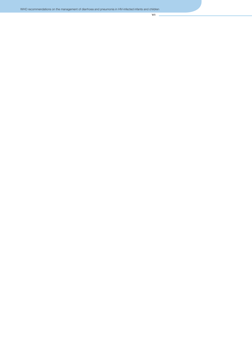vi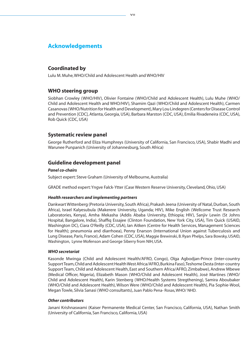## **Acknowledgements**

### **Coordinated by**

Lulu M. Muhe, WHO/Child and Adolescent Health and WHO/HIV

### **WHO steering group**

Siobhan Crowley (WHO/HIV), Olivier Fontaine (WHO/Child and Adolescent Health), Lulu Muhe (WHO/ Child and Adolescent Health and WHO/HIV), Shamim Qazi (WHO/Child and Adolescent Health), Carmen Casanovas (WHO/Nutrition for Health and Development), Mary Lou Lindegren (Centers for Disease Control and Prevention [CDC], Atlanta, Georgia, USA), Barbara Marston (CDC, USA), Emilia Rivadeneira (CDC, USA), Rob Quick (CDC, USA)

### **Systematic review panel**

George Rutherford and Eliza Humphreys (University of California, San Francisco, USA), Shabir Madhi and Warunee Punpanich (University of Johannesburg, South Africa)

### **Guideline development panel**

### *Panel co-chairs*

Subject expert: Steve Graham (University of Melbourne, Australia)

GRADE method expert: Yngve Falck-Ytter (Case Western Reserve University, Cleveland, Ohio, USA)

### *Health researchers and implementing partners*

Dankwart Wittenberg (Pretoria University, South Africa), Prakash Jeena (University of Natal, Durban, South Africa), Israel Kalyesubula (Makerere University, Uganda; HIV), Mike English (Wellcome Trust Research Laboratories, Kenya), Amha Mekasha (Addis Ababa University, Ethiopia; HIV), Sanjiv Lewin (St Johns Hospital, Bangalore, India), Shaffiq Essajee (Clinton Foundation, New York City, USA), Tim Quick (USAID, Washington DC), Ciara O'Reilly (CDC, USA), Ian Aitken (Centre for Health Services, Management Sciences for Health); pneumonia and diarrhoea), Penny Enarson (International Union against Tuberculosis and Lung Disease, Paris, France), Adam Cohen (CDC, USA), Maggie Brewinski, B. Ryan Phelps, Sara Bowsky, USAID, Washington, Lynne Mofenson and George Siberry from NIH, USA.

### *WHO secretariat*

Kasonde Mwinga (Child and Adolescent Health/AFRO, Congo), Olga Agbodjan-Prince (Inter-country Support Team, Child and Adolescent Health West Africa/AFRO, Burkina Faso), Teshome Desta (Inter-country Support Team, Child and Adolescent Health, East and Southern Africa/AFRO, Zimbabwe), Andrew Mbewe (Medical Officer, Nigeria), Elizabeth Mason (WHO/Child and Adolescent Health), José Martines (WHO/ Child and Adolescent Health), Karin Stenberg (WHO/Health Systems Stregthening), Samira Aboubaker (WHO/Child and Adolescent Health), Wilson Were (WHO/Child and Adolescent Health), Pia Sophie-Wool, Megan Towle, Silvia Sanasi (WHO consultants), Juan Pablo Pena- Rosas, WHO/ NHD.

### *Other contributors*

Janani Krishnaswami (Kaiser Permanente Medical Center, San Francisco, California, USA), Nathan Smith (University of California, San Francisco, California, USA)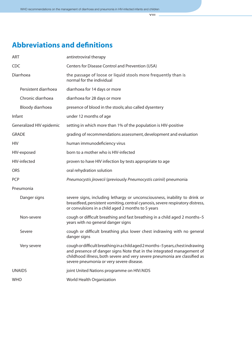viii

# **Abbreviations and definitions**

| <b>ART</b>    |                          | antiretroviral therapy                                                                                                                                                                                                                                                             |  |  |  |
|---------------|--------------------------|------------------------------------------------------------------------------------------------------------------------------------------------------------------------------------------------------------------------------------------------------------------------------------|--|--|--|
| <b>CDC</b>    |                          | Centers for Disease Control and Prevention (USA)                                                                                                                                                                                                                                   |  |  |  |
| Diarrhoea     |                          | the passage of loose or liquid stools more frequently than is<br>normal for the individual                                                                                                                                                                                         |  |  |  |
|               | Persistent diarrhoea     | diarrhoea for 14 days or more                                                                                                                                                                                                                                                      |  |  |  |
|               | Chronic diarrhoea        | diarrhoea for 28 days or more                                                                                                                                                                                                                                                      |  |  |  |
|               | Bloody diarrhoea         | presence of blood in the stools; also called dysentery                                                                                                                                                                                                                             |  |  |  |
|               | Infant                   | under 12 months of age                                                                                                                                                                                                                                                             |  |  |  |
|               | Generalized HIV epidemic | setting in which more than 1% of the population is HIV-positive                                                                                                                                                                                                                    |  |  |  |
|               | <b>GRADE</b>             | grading of recommendations assessment, development and evaluation                                                                                                                                                                                                                  |  |  |  |
| <b>HIV</b>    |                          | human immunodeficiency virus                                                                                                                                                                                                                                                       |  |  |  |
|               | HIV-exposed              | born to a mother who is HIV-infected                                                                                                                                                                                                                                               |  |  |  |
|               | HIV-infected             | proven to have HIV infection by tests appropriate to age                                                                                                                                                                                                                           |  |  |  |
| <b>ORS</b>    |                          | oral rehydration solution                                                                                                                                                                                                                                                          |  |  |  |
| <b>PCP</b>    |                          | Pneumocystis jirovecii (previously Pneumocystis carinii) pneumonia                                                                                                                                                                                                                 |  |  |  |
|               | Pneumonia                |                                                                                                                                                                                                                                                                                    |  |  |  |
|               | Danger signs             | severe signs, including lethargy or unconsciousness, inability to drink or<br>breastfeed, persistent vomiting, central cyanosis, severe respiratory distress,<br>or convulsions in a child aged 2 months to 5 years                                                                |  |  |  |
|               | Non-severe               | cough or difficult breathing and fast breathing in a child aged 2 months-5<br>years with no general danger signs                                                                                                                                                                   |  |  |  |
| Severe        |                          | cough or difficult breathing plus lower chest indrawing with no general<br>danger signs                                                                                                                                                                                            |  |  |  |
|               | Very severe              | cough or difficult breathing in a child aged 2 months-5 years, chest indrawing<br>and presence of danger signs Note that in the integrated management of<br>childhood illness, both severe and very severe pneumonia are classified as<br>severe pneumonia or very severe disease. |  |  |  |
| <b>UNAIDS</b> |                          | joint United Nations programme on HIV/AIDS                                                                                                                                                                                                                                         |  |  |  |
| <b>WHO</b>    |                          | World Health Organization                                                                                                                                                                                                                                                          |  |  |  |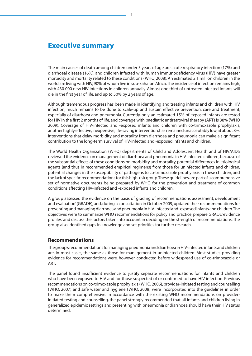# **Executive summary**

The main causes of death among children under 5 years of age are acute respiratory infection (17%) and diarrhoeal disease (16%), and children infected with human immunodeficiency virus (HIV) have greater morbidity and mortality related to these conditions (WHO, 2008). An estimated 2.1 million children in the world are living with HIV, 90% of whom live in sub-Saharan Africa. The incidence of infection remains high, with 430 000 new HIV infections in children annually. Almost one third of untreated infected infants will die in the first year of life, and up to 50% by 2 years of age.

Although tremendous progress has been made in identifying and treating infants and children with HIV infection, much remains to be done to scale-up and sustain effective prevention, care and treatment, especially of diarrhoea and pneumonia. Currently, only an estimated 15% of exposed infants are tested for HIV in the first 2 months of life, and coverage with paediatric antiretroviral therapy (ART) is 38% (WHO 2009). Coverage of HIV-infected and -exposed infants and children with co-trimoxazole prophylaxis, another highly effective, inexpensive, life-saving intervention, has remained unacceptably low, at about 8%. Interventions that delay morbidity and mortality from diarrhoea and pneumonia can make a significant contribution to the long-term survival of HIV-infected and -exposed infants and children.

The World Health Organization (WHO) departments of Child and Adolescent Health and of HIV/AIDS reviewed the evidence on management of diarrhoea and pneumonia in HIV-infected children, because of the substantial effects of these conditions on morbidity and mortality, potential differences in etiological agents (and thus in recommended empirical regimens) from those for uninfected infants and children, potential changes in the susceptibility of pathogens to co-trimoxazole prophylaxis in these children, and the lack of specific recommendations for this high-risk group. These guidelines are part of a comprehensive set of normative documents being prepared by WHO for the prevention and treatment of common conditions affecting HIV-infected and -exposed infants and children.

A group assessed the evidence on the basis of 'grading of recommendations assessment, development and evaluation' (GRADE), and, during a consultation in October 2009, updated their recommendations for preventing and managing diarrhoea and pneumonia in HIV-infected and -exposed infants and children. The objectives were to summarize WHO recommendations for policy and practice, prepare GRADE 'evidence profiles' and discuss the factors taken into account in deciding on the strength of recommendations. The group also identified gaps in knowledge and set priorities for further research.

### **Recommendations**

The group's recommendations for managing pneumonia and diarrhoea in HIV-infected infants and children are, in most cases, the same as those for management in uninfected children. Most studies providing evidence for recommendations were, however, conducted before widespread use of co-trimoxazole or ART.

The panel found insufficient evidence to justify separate recommendations for infants and children who have been exposed to HIV and for those suspected of or confirmed to have HIV infection. Previous recommendations on co-trimoxazole prophylaxis (WHO, 2006), provider-initiated testing and counselling (WHO, 2007) and safe water and hygiene (WHO, 2008) were incorporated into the guidelines in order to make them comprehensive. In accordance with the existing WHO recommendations on providerinitiated testing and counselling, the panel strongly recommended that all infants and children living in generalized epidemic settings and presenting with pneumonia or diarrhoea should have their HIV status determined.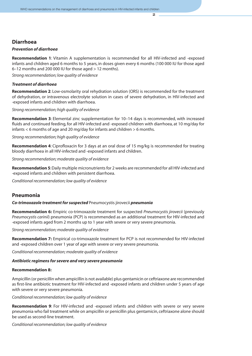### **Diarrhoea**

### *Prevention of diarrhoea*

**Recommendation 1**: Vitamin A supplementation is recommended for all HIV-infected and -exposed infants and children aged 6 months to 5 years, in doses given every 6 months (100 000 IU for those aged 6–12 months and 200 000 IU for those aged  $>$  12 months).

*Strong recommendation; low quality of evidence* 

### *Treatment of diarrhoea*

**Recommendation 2**: Low-osmolarity oral rehydration solution (ORS) is recommended for the treatment of dehydration, or intravenous electrolyte solution in cases of severe dehydration, in HIV-infected and -exposed infants and children with diarrhoea.

*Strong recommendation; high quality of evidence*

**Recommendation 3**: Elemental zinc supplementation for 10–14 days is recommended, with increased fluids and continued feeding, for all HIV-infected and -exposed children with diarrhoea, at 10 mg/day for infants < 6 months of age and 20 mg/day for infants and children > 6 months.

*Strong recommendation; high quality of evidence*

**Recommendation 4**: Ciprofloxacin for 3 days at an oral dose of 15 mg/kg is recommended for treating bloody diarrhoea in all HIV-infected and -exposed infants and children.

*Strong recommendation; moderate quality of evidence*

**Recommendation 5**: Daily multiple micronutrients for 2 weeks are recommended for all HIV-infected and -exposed infants and children with persistent diarrhoea.

*Conditional recommendation; low quality of evidence*

### **Pneumonia**

### *Co-trimoxazole treatment for suspected* Pneumocystis jirovecii *pneumonia*

**Recommendation 6:** Empiric co-trimoxazole treatment for suspected *Pneumocystis jirovecii* (previously *Pneumocystis carinii*) pneumonia (PCP) is recommended as an additional treatment for HIV-infected and -exposed infants aged from 2 months up to 1 year with severe or very severe pneumonia.

*Strong recommendation; moderate quality of evidence*

**Recommendation 7:** Empirical co-trimoxazole treatment for PCP is not recommended for HIV-infected and -exposed children over 1 year of age with severe or very severe pneumonia.

*Conditional recommendation; moderate quality of evidence*

### *Antibiotic regimens for severe and very severe pneumonia*

### **Recommendation 8:**

Ampicillin (or penicillin when ampicillin is not available) plus gentamicin or ceftriaxone are recommended as first-line antibiotic treatment for HIV-infected and -exposed infants and children under 5 years of age with severe or very severe pneumonia.

### *Conditional recommendation; low quality of evidence*

**Recommendation 9**: For HIV-infected and -exposed infants and children with severe or very severe pneumonia who fail treatment while on ampicillin or penicillin plus gentamicin, ceftriaxone alone should be used as second-line treatment.

*Conditional recommendation; low quality of evidence*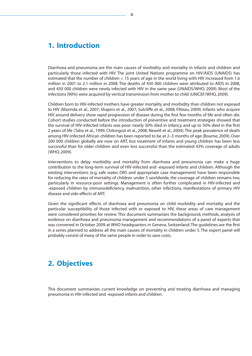# **1. Introduction**

Diarrhoea and pneumonia are the main causes of morbidity and mortality in infants and children and particularly those infected with HIV. The joint United Nations programme on HIV/AIDS (UNAIDS) has estimated that the number of children < 15 years of age in the world living with HIV increased from 1.6 million in 2001 to 2.1 million in 2008. The deaths of 430 000 children were attributed to AIDS in 2008, and 430 000 children were newly infected with HIV in the same year (UNAIDS/WHO, 2009). Most of the infections (90%) were acquired by vertical transmission from mother to child (UNICEF/WHO, 2009).

Children born to HIV-infected mothers have greater mortality and morbidity than children not exposed to HIV (Marinda et al., 2007; Shapiro et al., 2007; Sutcliffe et al., 2008; Filteau, 2009). Infants who acquire HIV around delivery show rapid progression of disease during the first few months of life and often die. Cohort studies conducted before the introduction of preventive and treatment strategies showed that the survival of HIV-infected infants was poor: nearly 30% died in infancy, and up to 50% died in the first 2 years of life (Taha et al., 1999; Chilongozi et al., 2008; Newell et al., 2004). The peak prevalence of death among HIV-infected African children has been reported to be at 2–3 months of age (Bourne, 2009). Over 200 000 children globally are now on ART, but treatment of infants and young children has been less successful than for older children and even less successful than the estimated 43% coverage of adults (WHO, 2009).

Interventions to delay morbidity and mortality from diarrhoea and pneumonia can make a huge contribution to the long-term survival of HIV-infected and -exposed infants and children. Although the existing interventions (e.g. safe water, ORS and appropriate case management) have been responsible for reducing the rates of mortality of children under 5 worldwide, the coverage of children remains low, particularly in resource-poor settings. Management is often further complicated in HIV-infected and -exposed children by immunodeficiency, malnutrition, other infections, manifestations of primary HIV disease and side-effects of ART.

Given the significant effects of diarrhoea and pneumonia on child morbidity and mortality and the particular susceptibility of those infected with or exposed to HIV, these areas of care management were considered priorities for review. This document summarizes the background, methods, analysis of evidence on diarrhoea and pneumonia management and recommendations of a panel of experts that was convened in October 2009 at WHO headquarters in Geneva, Switzerland. The guidelines are the first in a series planned to address all the main causes of mortality in children under 5. The expert panel will probably consist of many of the same people in order to save costs.

# **2. Objectives**

This document summarizes current knowledge on preventing and treating diarrhoea and managing pneumonia in HIV-infected and -exposed infants and children.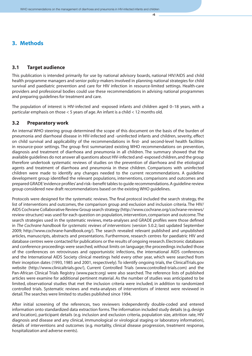### **3. Methods**

### **3.1 Target audience**

This publication is intended primarily for use by national advisory boards, national HIV/AIDS and child health programme managers and senior policy-makers involved in planning national strategies for child survival and paediatric prevention and care for HIV infection in resource-limited settings. Health-care providers and professional bodies could use these recommendations in advising national programmes and preparing guidelines for treatment and care.

4

The population of interest is HIV-infected and -exposed infants and children aged 0–18 years, with a particular emphasis on those < 5 years of age. An infant is a child < 12 months old.

### **3.2 Preparatory work**

An internal WHO steering group determined the scope of this document on the basis of the burden of pneumonia and diarrhoeal disease in HIV-infected and -uninfected infants and children, severity, effect on child survival and applicability of the recommendations in first- and second-level health facilities in resource-poor settings. The group first summarized existing WHO recommendations on prevention, diagnosis and treatment of diarrhoea and pneumonia in all children. The summary showed that the available guidelines do not answer all questions about HIV-infected and -exposed children, and the group therefore undertook systematic reviews of studies on the prevention of diarrhoea and the etiological agents and treatment of diarrhoea and pneumonia in these children. Comparisons with uninfected children were made to identify any changes needed to the current recommendations. A guideline development group identified the relevant populations, interventions, comparisons and outcomes and prepared GRADE 'evidence profiles' and risk–benefit tables to guide recommendations. A guideline review group considered new draft recommendations based on the existing WHO guidelines.

Protocols were designed for the systematic reviews. The final protocol included the search strategy, the list of interventions and outcomes, the comparison group and exclusion and inclusion criteria. The HIV/ AIDS Cochrane Collaborative Review Group search strategy (http://www.cochrane.org/cochrane-reviews/ review-structure) was used for each question on population, intervention, comparison and outcome. The search strategies used in the systematic reviews, meta-analyses and GRADE profiles were those defined in *The Cochrane handbook for systematic reviews of interventions* (version 5.0.2; last updated September 2009; http://www.cochrane-handbook.org/). The search revealed relevant published and unpublished articles, manuscripts, abstracts and presentations. Furthermore, research centres for paediatric HIV and database centres were contacted for publications or the results of ongoing research. Electronic databases and conference proceedings were searched, without limits on language; the proceedings included those of the conferences on retroviruses and opportunistic infections, the international AIDS conferences and the International AIDS Society clinical meetings held every other year, which were searched from their inception dates (1993, 1985 and 2001, respectively). To identify ongoing trials, the ClinicalTrials.gov website (http://www.clinicaltrials.gov/), Current Controlled Trials (www.controlled-trials.com) and the Pan-African Clinical Trials Registry (www.pactr.org) were also searched. The reference lists of published articles were examine for additional pertinent material. As the number of studies was anticipated to be limited, observational studies that met the inclusion criteria were included, in addition to randomized controlled trials. Systematic reviews and meta-analyses of interventions of interest were reviewed in detail. The searches were limited to studies published since 1994.

After initial screening of the references, two reviewers independently double-coded and entered information onto standardized data extraction forms. The information included study details (e.g. design and location), participant details (e.g. inclusion and exclusion criteria, population size, attrition rate, HIV diagnosis and disease and any clinical, immunological or virological staging or laboratory information), details of interventions and outcomes (e.g. mortality, clinical disease progression, treatment response, hospitalization and adverse events).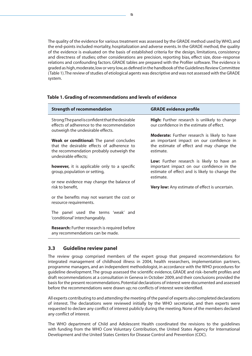The quality of the evidence for various treatment was assessed by the GRADE method used by WHO, and the end-points included mortality, hospitalization and adverse events. In the GRADE method, the quality of the evidence is evaluated on the basis of established criteria for the design, limitations, consistency and directness of studies; other considerations are precision, reporting bias, effect size, dose–response relations and confounding factors. GRADE tables are prepared with the Profiler software. The evidence is graded as high, moderate, low or very low, as defined in the handbook of the Guidelines Review Committee (Table 1). The review of studies of etiological agents was descriptive and was not assessed with the GRADE system.

| <b>Strength of recommendation</b>                                                                                                                          | <b>GRADE evidence profile</b>                                                                                                                             |
|------------------------------------------------------------------------------------------------------------------------------------------------------------|-----------------------------------------------------------------------------------------------------------------------------------------------------------|
| Strong:Thepanelisconfidentthatthedesirable<br>effects of adherence to the recommendation<br>outweigh the undesirable effects.                              | High: Further research is unlikely to change<br>our confidence in the estimate of effect.                                                                 |
| Weak or conditional: The panel concludes<br>that the desirable effects of adherence to<br>the recommendation probably outweigh the<br>undesirable effects; | <b>Moderate:</b> Further research is likely to have<br>an important impact on our confidence in<br>the estimate of effect and may change the<br>estimate. |
| <b>however,</b> it is applicable only to a specific<br>group, population or setting,                                                                       | Low: Further research is likely to have an<br>important impact on our confidence in the<br>estimate of effect and is likely to change the<br>estimate.    |
| or new evidence may change the balance of<br>risk to benefit,                                                                                              | <b>Very low:</b> Any estimate of effect is uncertain.                                                                                                     |
| or the benefits may not warrant the cost or<br>resource requirements.                                                                                      |                                                                                                                                                           |
| The panel used the terms 'weak' and<br>'conditional' interchangeably.                                                                                      |                                                                                                                                                           |
| <b>Research:</b> Further research is required before<br>any recommendations can be made.                                                                   |                                                                                                                                                           |

### **Table 1. Grading of recommendations and levels of evidence**

### **3.3 Guideline review panel**

The review group comprised members of the expert group that prepared recommendations for integrated management of childhood illness in 2004, health researchers, implementation partners, programme managers, and an independent methodologist, in accordance with the WHO procedures for guideline development. The group assessed the scientific evidence, GRADE and risk–benefit profiles and draft recommendations at a consultation in Geneva in October 2009, and their conclusions provided the basis for the present recommendations. Potential declarations of interest were documented and assessed before the recommendations were drawn up; no conflicts of interest were identified.

All experts contributing to and attending the meeting of the panel of experts also completed declarations of interest. The declarations were reviewed initially by the WHO secretariat, and then experts were requested to declare any conflict of interest publicly during the meeting. None of the members declared any conflict of interest.

The WHO department of Child and Adolescent Health coordinated the revisions to the guidelines with funding from the WHO Core Voluntary Contribution, the United States Agency for International Development and the United States Centers for Disease Control and Prevention (CDC).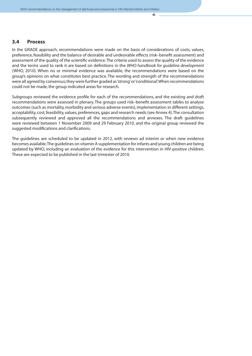### **3.4 Process**

In the GRADE approach, recommendations were made on the basis of considerations of costs, values, preference, feasibility and the balance of desirable and undesirable effects (risk–benefit assessment) and assessment of the quality of the scientific evidence. The criteria used to assess the quality of the evidence and the terms used to rank it are based on definitions in the *WHO handbook for guideline development* (WHO, 2010). When no or minimal evidence was available, the recommendations were based on the group's opinions on what constitutes best practice. The wording and strength of the recommendations were all agreed by consensus; they were further graded as 'strong' or 'conditional'. When recommendations could not be made, the group indicated areas for research.

Subgroups reviewed the evidence profile for each of the recommendations, and the existing and draft recommendations were assessed in plenary. The groups used risk–benefit assessment tables to analyse outcomes (such as mortality, morbidity and serious adverse events), implementation in different settings, acceptability, cost, feasibility, values, preferences, gaps and research needs (see Annex 4). The consultation subsequently reviewed and approved all the recommendations and annexes. The draft guidelines were reviewed between 1 November 2009 and 29 February 2010, and the original group reviewed the suggested modifications and clarifications.

The guidelines are scheduled to be updated in 2012, with reviews ad interim or when new evidence becomes available. The guidelines on vitamin A supplementation for infants and young children are being updated by WHO, including an evaluation of the evidence for this intervention in HIV-positive children. These are expected to be published in the last trimester of 2010.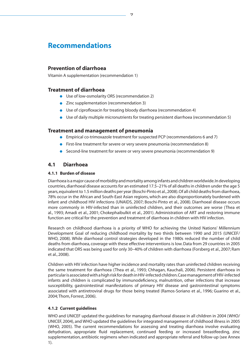# **Recommendations**

### **Prevention of diarrhoea**

Vitamin A supplementation (recommendation 1)

### **Treatment of diarrhoea**

- Use of low-osmolarity ORS (recommendation 2)
- Zinc supplementation (recommendation 3)
- Use of ciprofloxacin for treating bloody diarrhoea (recommendation 4)
- Use of daily multiple micronutrients for treating persistent diarrhoea (recommendation 5)

### **Treatment and management of pneumonia**

- Empirical co-trimoxazole treatment for suspected PCP (recommendations 6 and 7)
- **•** First-line treatment for severe or very severe pneumonia (recommendation 8)
- Second-line treatment for severe or very severe pneumonia (recommendation 9)

### **4.1 Diarrhoea**

### **4.1.1 Burden of disease**

Diarrhoea is a major cause of morbidity and mortality among infants and children worldwide. In developing countries, diarrhoeal disease accounts for an estimated 17.5–21% of all deaths in children under the age 5 years, equivalent to 1.5 million deaths per year (Boschi-Pinto et al., 2008). Of all child deaths from diarrhoea, 78% occur in the African and South-East Asian regions, which are also disproportionately burdened with infant and childhood HIV infections (UNAIDS, 2007; Boschi-Pinto et al., 2008). Diarrhoeal disease occurs more commonly in HIV-infected than in uninfected children, and their outcomes are worse (Thea et al., 1993; Amadi et al., 2001; Chokephaibulkit et al., 2001). Administration of ART and restoring immune function are critical for the prevention and treatment of diarrhoea in children with HIV infection.

Research on childhood diarrhoea is a priority of WHO for achieving the United Nations' Millennium Development Goal of reducing childhood mortality by two thirds between 1990 and 2015 (UNICEF/ WHO, 2008). While diarrhoeal control strategies developed in the 1980s reduced the number of child deaths from diarrhoea, coverage with these effective interventions is low. Data from 29 countries in 2005 indicated that ORS was being used for only 30–40% of children with diarrhoea (Forsberg et al., 2007; Ram et al., 2008).

Children with HIV infection have higher incidence and mortality rates than uninfected children receiving the same treatment for diarrhoea (Thea et al., 1993; Chhagan, Kauchali, 2006). Persistent diarrhoea in particular is associated with a high risk for death in HIV-infected children. Case management of HIV-infected infants and children is complicated by immunodeficiency, malnutrition, other infections that increase susceptibility, gastrointestinal manifestations of primary HIV disease and gastrointestinal symptoms associated with antiretroviral drugs for those being treated (Ramos-Soriano et al., 1996; Guarino et al., 2004; Thom, Forrest, 2006).

### **4.1.2 Current guidelines**

WHO and UNICEF updated the guidelines for managing diarrhoeal disease in all children in 2004 (WHO/ UNICEF, 2004), and WHO updated the guidelines for integrated management of childhood illness in 2005 (WHO, 2005). The current recommendations for assessing and treating diarrhoea involve evaluating dehydration, appropriate fluid replacement, continued feeding or increased breastfeeding, zinc supplementation, antibiotic regimens when indicated and appropriate referral and follow-up (see Annex 1).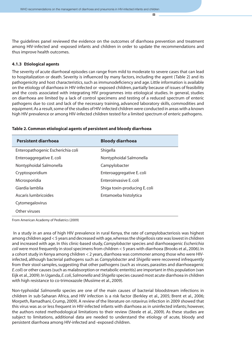The guidelines panel reviewed the evidence on the outcomes of diarrhoea prevention and treatment among HIV-infected and -exposed infants and children in order to update the recommendations and thus improve health outcomes.

### **4.1.3 Etiological agents**

The severity of acute diarrhoeal episodes can range from mild to moderate to severe cases that can lead to hospitalization or death. Severity is influenced by many factors, including the agent (Table 2) and its pathogenicity and host characteristics, such as immunodeficiency and age. Little information is available on the etiology of diarrhoea in HIV-infected or -exposed children, partially because of issues of feasibility and the costs associated with integrating HIV programmes into etiological studies. In general, studies on diarrhoea are limited by a lack of control specimens and testing of a reduced spectrum of enteric pathogens due to cost and lack of the necessary training, advanced laboratory skills, commodities and equipment. As a result, some of the studies of HIV-infected children were conducted in areas with a known high HIV prevalence or among HIV-infected children tested for a limited spectrum of enteric pathogens.

| <b>Persistent diarrhoea</b>       | <b>Bloody diarrhoea</b>       |
|-----------------------------------|-------------------------------|
| Enteropathogenic Escherichia coli | Shigella                      |
| Enteroaggregative E. coli         | Nontyphoidal Salmonella       |
| Nontyphoidal Salmonella           | Campylobacter                 |
| Cryptosporidium                   | Enteroaggregative E. coli     |
| Microsporidia                     | Enteroinvasive E. coli        |
| Giardia lamblia                   | Shiga toxin-producing E. coli |
| Ascaris lumbricoides              | Entamoeba histolytica         |
| Cytomegalovirus                   |                               |
| Other viruses                     |                               |

### **Table 2. Common etiological agents of persistent and bloody diarrhoea**

From American Academy of Pediatrics (2009)

 In a study in an area of high HIV prevalence in rural Kenya, the rate of campylobacteriosis was highest among children aged < 5 years and decreased with age, whereas the shigellosis rate was lowest in children and increased with age. In this clinic-based study, *Campylobacter* species and diarrhoeagenic *Escherichia coli* were most frequently in stool specimens from children < 5 years with diarrhoea (Brooks et al., 2006). In a cohort study in Kenya among children < 2 years, diarrhoea was commoner among those who were HIVinfected, although bacterial pathogens such as *Campylobacter* and *Shigella* were recovered infrequently from their stool samples, suggesting that other pathogens (such as viruses, parasites and diarrhoeagenic *E. coli*) or other causes (such as malabsorption or metabolic enteritis) are important in this population (van Eijk et al., 2009). In Uganda, *E. coli*, *Salmonella* and *Shigella* species caused most acute diarrhoea in children with high resistance to co-trimoxazole (Musiime et al., 2009).

Non-typhoidal *Salmonella* species are one of the main causes of bacterial bloodstream infections in children in sub-Saharan Africa, and HIV infection is a risk factor (Berkley et al., 2005; Brent et al., 2006; Morpeth, Ramadhani, Crump, 2009). A review of the literature on rotavirus infection in 2009 showed that this virus was as or less frequent in HIV-infected infants with diarrhoea as in uninfected infants; however, the authors noted methodological limitations to their review (Steele et al., 2009). As these studies are subject to limitations, additional data are needed to understand the etiology of acute, bloody and persistent diarrhoea among HIV-infected and -exposed children.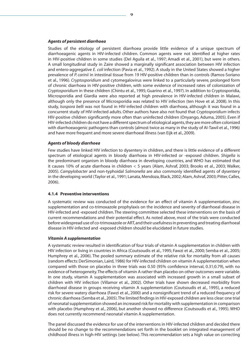### *Agents of persistent diarrhoea*

Studies of the etiology of persistent diarrhoea provide little evidence of a unique spectrum of diarrhoeagenic agents in HIV-infected children. Common agents were not identified at higher rates in HIV-positive children in some studies (Del Aguila et al., 1997; Amadi et al., 2001), but were in others. A small longitudinal study in Zaire showed a marginally significant association between HIV infection and entero-aggregative *E. coli* infection (Pavia et al., 1992). A study in the United States showed a higher prevalence of *P. carinii* in intestinal tissue from 19 HIV-positive children than in controls (Ramos-Soriano et al., 1996). *Cryptosporidium* and cytomegalovirus were linked to a particularly severe, prolonged form of chronic diarrhoea in HIV-positive children, with some evidence of increased rates of colonization of *Cryptosporidium* in these children (Chintu et al., 1995; Guarino et al., 1997). In addition to Cryptosporidia, Microsporidia and Giardia were also reported at high prevalence in HIV-infected children in Malawi, although only the presence of Microsporidia was related to HIV infection (ten Hove et al. 2008). In this study, *Isospora belli* was not found in HIV-infected children with diarrhoea, although it was found in a concurrent study of HIV-infected adults. Other authors have also not found that *Cryptosporidium* infects HIV-positive children significantly more often than uninfected children (Onyango, Aduma, 2005). Even if HIV-infected children do not have a different spectrum of etiological agents, they are more often colonized with diarrhoeaogenic pathogens than controls (almost twice as many in the study of Al-Tawil et al., 1996) and have more frequent and more severe diarrhoeal illness (van Eijk et al., 2009).

### *Agents of bloody diarrhoea*

Few studies have linked HIV infection to dysentery in children, and there is little evidence of a different spectrum of etiological agents in bloody diarrhoea in HIV-infected or -exposed children. *Shigella* is the predominant organism in bloody diarrhoea in developing countries, and WHO has estimated that it causes 10% of acute diarrhoea in children < 5 years (Alam, Ashraf, 2003; Brooks et al., 2003; Walker, 2005). *Campylobacter* and non-typhoidal *Salmonella* are also commonly identified agents of dysentery in the developing world (Taylor et al., 1991; Lanata, Mendoza, Black, 2002; Alam, Ashraf, 2003; Pitter, Calles, 2006).

### **4.1.4 Preventive interventions**

A systematic review was conducted of the evidence for an effect of vitamin A supplementation, zinc supplementation and co-trimoxazole prophylaxis on the incidence and severity of diarrhoeal disease in HIV-infected and -exposed children. The steering committee selected these interventions on the basis of current recommendations and their potential effect. As noted above, most of the trials were conducted before widespread use of co-trimoxazole or ART, and their usefulness in preventing and treating diarrhoeal disease in HIV-infected and -exposed children should be elucidated in future studies.

### *Vitamin A supplementation*

A systematic review resulted in identification of four trials of vitamin A supplementation in children with HIV infection or living in countries in Africa (Coutsoudis et al., 1995; Fawzi et al., 2000; Semba et al., 2005; Humphrey et al., 2006). The pooled summary estimate of the relative risk for mortality from all causes (random effects: DerSimonian, Laird, 1986) for HIV-infected children on vitamin A supplementation when compared with those on placebo in three trials was 0.50 (95% confidence interval, 0.31;0.79), with no evidence of heterogeneity. The effects of vitamin A rather than placebo on other outcomes were variable. In one study, vitamin A supplementation was associated with increased growth in a small subset of children with HIV infection (Villamor et al., 2002). Other trials have shown decreased morbidity from diarrhoeal disease in groups receiving vitamin A supplementation (Coutsoudis et al., 1995), a reduced risk for severe watery diarrhoea (Fawzi et al., 2000) and a nonsignificant trend of a reduced frequency of chronic diarrhoea (Semba et al., 2005). The limited findings in HIV-exposed children are less clear: one trial of neonatal supplementation showed an increased risk for mortality with supplementation in comparison with placebo (Humphrey et al., 2006), but another showed no difference (Coutsoudis et al., 1995). WHO does not currently recommend neonatal vitamin A supplementation.

The panel discussed the evidence for use of the interventions in HIV-infected children and decided there should be no change to the recommendations set forth in the booklet on integrated management of childhood illness in high-HIV settings (see below). This recommendation sets a high value on correcting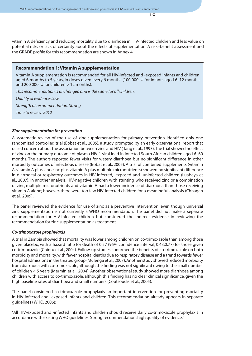vitamin A deficiency and reducing mortality due to diarrhoea in HIV-infected children and less value on potential risks or lack of certainty about the effects of supplementation. A risk–benefit assessment and the GRADE profile for this recommendation are shown in Annex 4.

### **Recommendation 1: Vitamin A supplementation**

Vitamin A supplementation is recommended for all HIV-infected and -exposed infants and children aged 6 months to 5 years, in doses given every 6 months (100 000 IU for infants aged 6–12 months and 200 000 IU for children  $> 12$  months).

*This recommendation is unchanged and is the same for all children.*

*Quality of evidence: Low*

*Strength of recommendation: Strong*

*Time to review: 2012*

### *Zinc supplementation for prevention*

A systematic review of the use of zinc supplementation for primary prevention identified only one randomized controlled trial (Bobat et al., 2005), a study prompted by an early observational report that raised concern about the association between zinc and HIV (Tang et al., 1993). The trial showed no effect of zinc on the primary outcome of plasma HIV-1 viral load in infected South African children aged 6–60 months. The authors reported fewer visits for watery diarrhoea but no significant difference in other morbidity outcomes of infectious disease (Bobat et al., 2005). A trial of combined supplements (vitamin A, vitamin A plus zinc, zinc plus vitamin A plus multiple micronutrients) showed no significant difference in diarrhoeal or respiratory outcomes in HIV-infected, -exposed and -uninfected children (Luabeya et al., 2007). In another analysis, HIV-negative children with stunting who received zinc or a combination of zinc, multiple micronutrients and vitamin A had a lower incidence of diarrhoea than those receiving vitamin A alone; however, there were too few HIV-infected children for a meaningful analysis (Chhagan et al., 2009).

The panel reviewed the evidence for use of zinc as a preventive intervention, even though universal zinc supplementation is not currently a WHO recommendation. The panel did not make a separate recommendation for HIV-infected children but considered the indirect evidence in reviewing the recommendation for zinc supplementation as treatment.

### *Co-trimoxazole prophylaxis*

A trial in Zambia showed that mortality was lower among children on co-trimoxazole than among those given placebo, with a hazard ratio for death of 0.57 (95% confidence interval, 0.43;0.77) for those given co-trimoxazole (Chintu et al., 2004). Follow-up studies confirmed the benefits of co-trimoxazole on both morbidity and mortality, with fewer hospital deaths due to respiratory disease and a trend towards fewer hospital admissions in the treated group (Mulenga et al., 2007). Another study showed reduced morbidity from diarrhoea with co-trimoxazole, although the finding was not significant owing to the small number of children < 5 years (Mermin et al., 2004). Another observational study showed more diarrhoea among children with access to co-trimoxazole, although this finding has no clear clinical significance, given the high baseline rates of diarrhoea and small numbers (Coutsoudis et al., 2005).

The panel considered co-trimoxazole prophylaxis an important intervention for preventing mortality in HIV-infected and -exposed infants and children. This recommendation already appears in separate guidelines (WHO, 2006):

"All HIV-exposed and -infected infants and children should receive daily co-trimoxazole prophylaxis in accordance with existing WHO guidelines. Strong recommendation; high quality of evidence."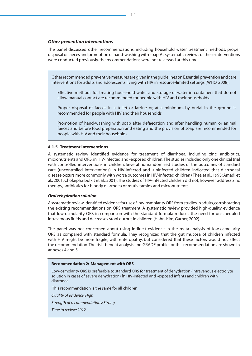### *Other prevention interventions*

The panel discussed other recommendations, including household water treatment methods, proper disposal of faeces and promotion of hand-washing with soap. As systematic reviews of these interventions were conducted previously, the recommendations were not reviewed at this time.

Other recommended preventive measures are given in the guidelines on Essential prevention and care interventions for adults and adolescents living with HIV in resource-limited settings (WHO, 2008):

Effective methods for treating household water and storage of water in containers that do not allow manual contact are recommended for people with HIV and their households.

Proper disposal of faeces in a toilet or latrine or, at a minimum, by burial in the ground is recommended for people with HIV and their households

Promotion of hand-washing with soap after defaecation and after handling human or animal faeces and before food preparation and eating and the provision of soap are recommended for people with HIV and their households.

### **4.1.5 Treatment interventions**

A systematic review identified evidence for treatment of diarrhoea, including zinc, antibiotics, micronutrients and ORS, in HIV-infected and -exposed children. The studies included only one clinical trial with controlled interventions in children. Several nonrandomized studies of the outcomes of standard care (uncontrolled interventions) in HIV-infected and -uninfected children indicated that diarrhoeal disease occurs more commonly with worse outcomes in HIV-infected children (Thea et al., 1993; Amadi et al., 2001; Chokephaibulkit et al., 2001). The studies of HIV-infected children did not, however, address zinc therapy, antibiotics for bloody diarrhoea or mutivitamins and micronutrients.

### *Oral rehydration solution*

A systematic review identified evidence for use of low-osmolarity ORS from studies in adults, corroborating the existing recommendations on ORS treatment. A systematic review provided high-quality evidence that low-osmolarity ORS in comparison with the standard formula reduces the need for unscheduled intravenous fluids and decreases stool output in children (Hahn, Kim, Garner, 2002).

The panel was not concerned about using indirect evidence in the meta-analysis of low-osmolarity ORS as compared with standard formula. They recognized that the gut mucosa of children infected with HIV might be more fragile, with enteropathy, but considered that these factors would not affect the recommendation. The risk–benefit analysis and GRADE profile for this recommendation are shown in annexes 4 and 5.

### **Recommendation 2: Management with ORS**

Low-osmolarity ORS is preferable to standard ORS for treatment of dehydration (intravenous electrolyte solution in cases of severe dehydration) in HIV-infected and -exposed infants and children with diarrhoea.

This recommendation is the same for all children.

*Quality of evidence: High*

*Strength of recommendations: Strong*

*Time to review: 2012*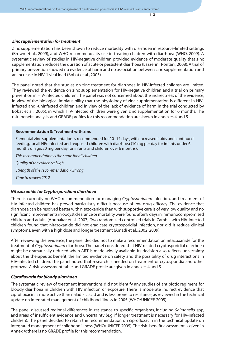### *Zinc supplementation for treatment*

Zinc supplementation has been shown to reduce morbidity with diarrhoea in resource-limited settings (Brown et al., 2009), and WHO recommends its use in treating children with diarrhoea (WHO, 2009). A systematic review of studies in HIV-negative children provided evidence of moderate quality that zinc supplementation reduces the duration of acute or persistent diarrhoea (Lazzerini, Rontani, 2008). A trial of primary prevention showed no evidence of harm and no association between zinc supplementation and an increase in HIV-1 viral load (Bobat et al., 2005).

The panel noted that the studies on zinc treatment for diarrhoea in HIV-infected children are limited. They reviewed the evidence on zinc supplementation for HIV-negative children and a trial on primary prevention in HIV-infected children. The panel was not concerned about the indirectness of the evidence, in view of the biological implausibility that the physiology of zinc supplementation is different in HIVinfected and -uninfected children and in view of the lack of evidence of harm in the trial conducted by Bobat et al. (2005), in which HIV-infected children were given zinc supplementation for 6 months. The risk–benefit analysis and GRADE profiles for this recommendation are shown in annexes 4 and 5.

### **Recommendation 3: Treatment with zinc**

Elemental zinc supplementation is recommended for 10–14 days, with increased fluids and continued feeding, for all HIV-infected and -exposed children with diarrhoea (10 mg per day for infants under 6 months of age, 20 mg per day for infants and children over 6 months).

*This recommendation is the same for all children.*

*Quality of the evidence: High*

*Strength of the recommendation: Strong*

*Time to review: 2012*

### *Nitazoxanide for Cryptosporidium diarrhoea*

There is currently no WHO recommendation for managing *Cryptosporidium* infection, and treatment of HIV-infected children has proved particularly difficult because of low drug efficacy*.* The evidence that diarrhoea can be resolved better with nitazoxanide than with supportive care is of very low quality, and no significant improvements in oocyst clearance or mortality were found after 8 days in immunocompromised children and adults (Abubakar et al., 2007). Two randomized controlled trials in Zambia with HIV-infected children found that nitazoxanide did not eradicate cryptosporidial infection, nor did it reduce clinical symptoms, even with a high dose and longer treatment (Amadi et al., 2002, 2009).

After reviewing the evidence, the panel decided not to make a recommendation on nitazoxanide for the treatment of *Cryptosporidium* diarrhoea. The panel considered that HIV-related cryptosporidial diarrhoea might be dramatically reduced when ART is made widely available. Its decision also reflects uncertainty about the therapeutic benefit, the limited evidence on safety and the possibility of drug interactions in HIV-infected children. The panel noted that research is needed on treatment of crytosporidia and other protozoa. A risk–assessment table and GRADE profile are given in annexes 4 and 5.

### *Ciprofloxacin for bloody diarrhoea*

The systematic review of treatment interventions did not identify any studies of antibiotic regimens for bloody diarrhoea in children with HIV infection or exposure. There is moderate indirect evidence that ciprofloxacin is more active than naladixic acid and is less prone to resistance, as reviewed in the technical update on integrated management of childhood illness in 2005 (WHO/UNICEF, 2005).

The panel discussed regional differences in resistance to specific organisms, including *Salmonella* spp, and areas of insufficient evidence and uncertainty (e.g. if longer treatment is necessary for HIV-infected children). The panel decided to retain the recommendation on ciprofloxacin in the technical update on integrated management of childhood illness (WHO/UNICEF, 2005). The risk–benefit assessment is given in Annex 4; there is no GRADE profile for this recommendation.

12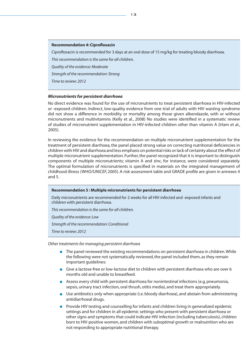### **Recommendation 4: Ciprofloxacin**

Ciprofloxacin is recommended for 3 days at an oral dose of 15 mg/kg for treating bloody diarrhoea.

*This recommendation is the same for all children.* 

*Quality of the evidence: Moderate*

*Strength of the recommendation: Strong*

*Time to review: 2012*

### *Micronutrients for persistent diarrhoea*

No direct evidence was found for the use of micronutrients to treat persistent diarrhoea in HIV-infected or -exposed children. Indirect, low-quality evidence from one trial of adults with HIV wasting syndrome did not show a difference in morbidity or mortality among those given albendazole, with or without micronutrients and multivitamins (Kelly et al., 2008) No studies were identified in a systematic review of studies of micronutrient supplementation in HIV-infected children other than vitamin A (Irlam et al., 2005).

In reviewing the evidence for the recommendation on multiple micronutrient supplementation for the treatment of persistent diarrhoea, the panel placed strong value on correcting nutritional deficiencies in children with HIV and diarrhoea and less emphasis on potential risks or lack of certainty about the effect of multiple micronutrient supplementation. Further, the panel recognized that it is important to distinguish components of multiple micronutrients; vitamin A and zinc, for instance, were considered separately. The optimal formulation of micronutrients is specified in materials on the integrated management of childhood illness (WHO/UNICEF, 2005). A risk-assessment table and GRADE profile are given in annexes 4 and 5.



*Other treatments for managing persistent diarrhoea*

- The panel reviewed the existing recommendations on persistent diarrhoea in children. While the following were not systematically reviewed, the panel included them, as they remain important guidelines:
- Give a lactose-free or low-lactose diet to children with persistent diarrhoea who are over 6 months old and unable to breastfeed.
- Assess every child with persistent diarrhoea for nonintestinal infections (e.g. pneumonia, sepsis, urinary tract infection, oral thrush, otitis media), and treat them appropriately.
- Use antibiotics only when appropriate (i.e. bloody diarrhoea), and abstain from administering antidiarrhoeal drugs.
- Provide HIV testing and counselling for infants and children living in generalized epidemic settings and for children in all epidemic settings who present with persistent diarrhoea or other signs and symptoms that could indicate HIV infection (including tuberculosis), children born to HIV-positive women, and children with suboptimal growth or malnutrition who are not responding to appropriate nutritional therapy.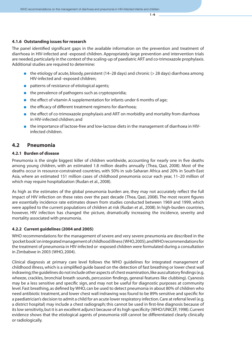### **4.1.6 Outstanding issues for research**

The panel identified significant gaps in the available information on the prevention and treatment of diarrhoea in HIV-infected and -exposed children. Appropriately large prevention and intervention trials are needed, particularly in the context of the scaling-up of paediatric ART and co-trimoxazole prophylaxis. Additional studies are required to determine:

- $\bullet$  the etiology of acute, bloody, persistent (14–28 days) and chronic ( $>$  28 days) diarrhoea among HIV-infected and -exposed children;
- **•** patterns of resistance of etiological agents;
- $\bullet$  the prevalence of pathogens such as cryptosporidia;
- the effect of vitamin A supplementation for infants under 6 months of age;
- the efficacy of different treatment regimens for diarrhoea;
- $\bullet$  the effect of co-trimoxazole prophylaxis and ART on morbidity and mortality from diarrhoea in HIV-infected children; and
- the importance of lactose-free and low-lactose diets in the management of diarrhoea in HIVinfected children.

### **4.2 Pneumonia**

### **4.2.1 Burden of disease**

Pneumonia is the single biggest killer of children worldwide, accounting for nearly one in five deaths among young children, with an estimated 1.8 million deaths annually (Thea, Qazi, 2008). Most of the deaths occur in resource-constrained countries, with 50% in sub-Saharan Africa and 20% in South-East Asia, where an estimated 151 million cases of childhood pneumonia occur each year, 11–20 million of which may require hospitalization (Rudan et al., 2008).

As high as the estimates of the global pneumonia burden are, they may not accurately reflect the full impact of HIV infection on these rates over the past decade (Thea, Qazi, 2008). The most recent figures are essentially incidence rate estimates drawn from studies conducted between 1969 and 1999, which were applied to the current populations of children at risk (Rudan et al., 2008). In high-burden countries, however, HIV infection has changed the picture, dramatically increasing the incidence, severity and mortality associated with pneumonia.

### **4.2.2 Current guidelines (2004 and 2005)**

WHO recommendations for the management of severe and very severe pneumonia are described in the 'pocket book' on integrated management of childhood illness (WHO, 2005), and WHO recommendations for the treatment of pneumonia in HIV-infected or -exposed children were formulated during a consultation in Zimbabwe in 2003 (WHO, 2004).

Clinical diagnosis at primary care level follows the WHO guidelines for integrated management of childhood illness, which is a simplified guide based on the detection of fast breathing or lower chest wall indrawing; the guidelines do not include other aspects of chest examination, like auscultatory findings (e.g. wheeze, crackles, bronchial breath sounds, percussion findings, general features like clubbing). Cyanosis may be a less sensitive and specific sign, and may not be useful for diagnostic purposes at community level. Fast breathing, as defined by WHO, can be used to detect pneumonia in about 80% of children who need antibiotic treatment, and lower chest wall indrawing was found to be 89% sensitive and specific for a paediatrician's decision to admit a child for an acute lower respiratory infection. Care at referral level (e.g. a district hospital) may include a chest radiograph; this cannot be used in first-line diagnosis because of its low sensitivity, but it is an excellent adjunct because of its high specificity (WHO/UNICEF, 1998). Current evidence shows that the etiological agents of pneumonia still cannot be differentiated clearly clinically or radiologically.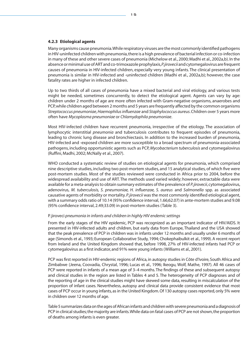### **4.2.3 Etiological agents**

Many organisms cause pneumonia. While respiratory viruses are the most commonly identified pathogens in HIV-uninfected children with pneumonia, there is a high prevalence of bacterial infection or co-infection in many of these and other severe cases of pneumonia (Michelow et al., 2000; Madhi et al., 2002a,b). In the absence or minimal use of ART and co-trimoxazole prophylaxis, *P. jirovecii* and cytomegalovirus are frequent causes of pneumonia in HIV-infected children, especially very young infants. The clinical presentation of pneumonia is similar in HIV-infected and -uninfected children (Madhi et al., 2002a,b); however, the case fatality rates are higher in infected children.

Up to two thirds of all cases of pneumonia have a mixed bacterial and viral etiology, and various tests might be needed, sometimes concurrently, to detect the etiological agent. Agents can vary by age: children under 2 months of age are more often infected with Gram-negative organisms, anaerobes and PCP, while children aged between 2 months and 5 years are frequently affected by the common organisms *Streptococcus pneumoniae*, *Haemophilus influenzae* and *Staphylococcus aureus*. Children over 5 years more often have *Mycoplasma pneumoniae* or *Chlamydophila pneumoniae*.

Most HIV-infected children have recurrent pneumonia, irrespective of the etiology. The association of lymphocytic interstitial *pneumonia* and tuberculosis contributes to frequent episodes of pneumonia, leading to chronic lung disease and bronchiectasis. In addition to the increased burden of pneumonia, HIV-infected and -exposed children are more susceptible to a broad spectrum of pneumonia-associated pathogens, including opportunistic agents such as PCP, *Mycobacterium tuberculosis* and cytomegalovirus (Ruffini, Madhi, 2002; McNally et al., 2007).

WHO conducted a systematic review of studies on etiological agents for pneumonia, which comprised nine descriptive studies, including two post-mortem studies, and 15 analytical studies, of which five were post-mortem studies. Most of the studies reviewed were conducted in Africa prior to 2004, before the widespread availability and use of ART. The methods used varied widely; however, extractable data were available for a meta-analysis to obtain summary estimates of the prevalence of *P. jirovecii*, cytomegalovirus, adenovirus, *M. tuberculosis, S. pneumoniae, H. influenzae, S. aureus* and *Salmonella* spp*.* as associated causative agents of morbidity or mortality. *P. jirovecii* was the most commonly identified etiological agent, with a summary odds ratio of 10.14 (95% confidence interval, 1.66;62.07) in ante-mortem studies and 9.08 (95% confidence interval, 2.49;33.09) in post-mortem studies (Table 3).

### P. jiroveci *pneumonia in infants and children in highly HIV endemic settings*

From the early stages of the HIV epidemic, PCP was recognized as an important indicator of HIV/AIDS. It presented in HIV-infected adults and children, but early data from Europe, Thailand and the USA showed that the peak prevalence of PCP in children was in infants under 12 months and usually under 6 months of age (Simonds et al., 1993; European Collaborative Study, 1994; Chokephaibulkit et al., 1999). A recent report from Ireland and the United Kingdom showed that, before 1998, 27% of HIV-infected infants had PCP or cytomegalovirus as a first indicator, and 91% were young infants (Williams et al., 2001).

PCP was first reported in HIV-endemic regions of Africa, in autopsy studies in Côte d'Ivoire, South Africa and Zimbabwe (Jeena, Coovadia, Chrystal, 1996; Lucas et al., 1996; Ikeogu, Wolf, Mathe, 1997). All 46 cases of PCP were reported in infants of a mean age of 3–4 months. The findings of these and subsequent autopsy and clinical studies in the region are listed in Tables 4 and 5. The heterogeneity of PCP diagnoses and of the reporting of age in the clinical studies might have skewed some data, resulting in miscalculation of the proportion of infant cases. Nevertheless, autopsy and clinical data provide consistent evidence that most cases of PCP occur in young infants, as in the United Kingdom. Of 130 autopsy cases reported, only 5% were in children over 12 months of age.

Table 5 summarizes data on the ages of African infants and children with severe pneumonia and a diagnosis of PCP in clinical studies; the majority are infants. While data on fatal cases of PCP are not shown, the proportion of deaths among infants is even greater.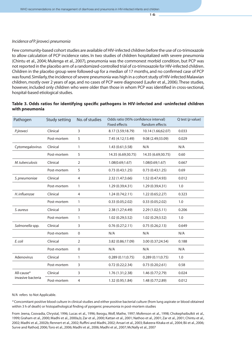### *Incidence of* P. jiroveci *pneumonia*

Few community-based cohort studies are available of HIV-infected children before the use of co-trimoxazole to allow calculation of PCP incidence rates. In two studies of children hospitalized with severe pneumonia (Chintu et al., 2004; Mulenga et al., 2007), pneumonia was the commonest morbid condition, but PCP was not reported in the placebo arm of a randomized-controlled trial of co-trimoxazole for HIV-infected children. Children in the placebo group were followed-up for a median of 17 months, and no confirmed case of PCP was found. Similarly, the incidence of severe pneumonia was high in a cohort study of HIV-infected Malawian children, mostly over 2 years of age, and no cases of PCP were diagnosed (Laufer et al., 2006). These studies, however, included only children who were older than those in whom PCP was identified in cross-sectional, hospital-based etiological studies.

### **Table 3. Odds ratios for identifying specific pathogens in HIV-infected and -uninfected children with pneumonia**

| Pathogen          | Study setting | No. of studies | Odds ratio (95% confidence interval)<br><b>Fixed effects</b><br>Random effects |                    | Q test ( $p$ value) |
|-------------------|---------------|----------------|--------------------------------------------------------------------------------|--------------------|---------------------|
| P. jiroveci       | Clinical      | 3              | 8.17 (3.59;18.79)                                                              | 10.14 (1.66;62.07) | 0.033               |
|                   | Post-mortem   | 5              | 7.45 (4.12;13.49)                                                              | 9.08 (2.49;33.09)  | 0.029               |
| Cytomegalovirus   | Clinical      | 1              | 1.43 (0.61;3.58)                                                               | N/A                | N/A                 |
|                   | Post-mortem   | 5              | 14.35 (6.69;30.75)                                                             | 14.35 (6.69;30.75) | 0.60                |
| M. tuberculosis   | Clinical      | $\overline{2}$ | 1.08(0.69;1.67)                                                                | 1.08(0.69;1.67)    | 0.667               |
|                   | Post-mortem   | 5              | 0.73(0.43;1.25)                                                                | 0.73(0.43;1.25)    | 0.69                |
| S. pneumoniae     | Clinical      | $\overline{4}$ | 2.32 (1.47;3.66)                                                               | 1.52 (0.47;4.93)   | 0.012               |
|                   | Post-mortem   | 1              | 1.29 (0.39;4.31)                                                               | 1.29 (0.39;4.31)   | 1.0                 |
| H. influenzae     | Clinical      | $\overline{4}$ | 1.24(0.74;2.11)                                                                | 1.22 (0.65;2.27)   | 0.323               |
|                   | Post-mortem   | 1              | 0.33(0.05;2.02)                                                                | 0.33(0.05;2.02)    | 1.0                 |
| S. aureus         | Clinical      | 3              | 2.38 (1.27;4.49)                                                               | 2.29 (1.02;5.11)   | 0.206               |
|                   | Post-mortem   | 1              | 1.02 (0.29;3.52)                                                               | 1.02 (0.29;3.52)   | 1.0                 |
| Salmonella spp.   | Clinical      | 3              | 0.76(0.27;2.11)                                                                | 0.75(0.26;2.13)    | 0.649               |
|                   | Post-mortem   | $\mathbf 0$    | N/A                                                                            | N/A                | N/A                 |
| E. coli           | Clinical      | $\overline{2}$ | 3.82 (0.86;17.09)                                                              | 3.00 (0.37;24.54)  | 0.188               |
|                   | Post-mortem   | $\mathbf 0$    | N/A                                                                            | N/A                | N/A                 |
| Adenovirus        | Clinical      | 1              | 0.289(0.11;0.75)                                                               | 0.289(0.11;0.75)   | 1.0                 |
|                   | Post-mortem   | 3              | 0.72(0.22;2.34)                                                                | 0.73(0.20;2.61)    | 0.58                |
| All-cause*        | Clinical      | 3              | 1.76 (1.31;2.38)                                                               | 1.46 (0.77;2.79)   | 0.024               |
| invasive bacteria | Post-mortem   | 4              | 1.32 (0.95;1.84)                                                               | 1.48 (0.77;2.89)   | 0.012               |

N/A refers to Not Applicable.

*\** Concomitant positive blood culture in clinical studies and either positive bacterial culture (from lung aspirate or blood obtained within 3 h of death) or histopathological finding of pyogenic pneumonia in post-mortem studies

From Jeena, Coovadia, Chrystal, 1996; Lucas et al., 1996; Ikeogu, Wolf, Mathe, 1997; Mofenson et al., 1998; Chokephaibulkit et al., 1999; Graham et al., 2000; Madhi et al., 2000a,b; Zar et al., 2000; Kattan et al., 2001; Nathoo et al., 2001; Zar et al., 2001; Chintu et al., 2002; Madhi et al., 2002b; Rennert et al., 2002; Ruffini and Madhi, 2002; Ansari et al., 2003; Bakeera-Kitaka et al., 2004; Bii et al., 2006; Surve and Rathod, 2006; Toro et al., 2006; Madhi et al., 2006; Madhi et al., 2007; McNally et al., 2007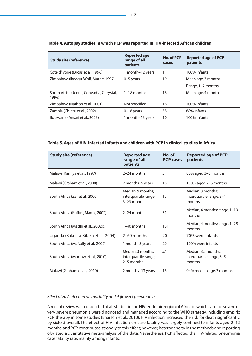| <b>Study site (reference)</b>                     | <b>Reported age</b><br>range of all<br>patients | <b>No. of PCP</b><br>cases | <b>Reported age of PCP</b><br>patients |
|---------------------------------------------------|-------------------------------------------------|----------------------------|----------------------------------------|
| Cote d'Ivoire (Lucas et al., 1996)                | 1 month-12 years                                | 11                         | 100% infants                           |
| Zimbabwe (Ikeogu, Wolf, Mathe, 1997)              | $0-5$ years                                     | 19                         | Mean age, 3 months                     |
|                                                   |                                                 |                            | Range, 1–7 months                      |
| South Africa (Jeena, Coovadia, Chrystal,<br>1996) | $1-18$ months                                   | 16                         | Mean age, 4 months                     |
| Zimbabwe (Nathoo et al., 2001)                    | Not specified                                   | 16                         | 100% infants                           |
| Zambia (Chintu et al., 2002)                      | $0-16$ years                                    | 58                         | 88% infants                            |
| Botswana (Ansari et al., 2003)                    | 1 month–13 years                                | 10                         | 100% infants                           |

### **Table 4. Autopsy studies in which PCP was reported in HIV-infected African children**

### **Table 5. Ages of HIV-infected infants and children with PCP in clinical studies in Africa**

| <b>Study site (reference)</b>        | <b>Reported age</b><br>range of all<br>patients          | No. of<br><b>PCP cases</b> | <b>Reported age of PCP</b><br>patients                    |
|--------------------------------------|----------------------------------------------------------|----------------------------|-----------------------------------------------------------|
| Malawi (Kamiya et al., 1997)         | 2-24 months                                              | 5                          | 80% aged 3-6 months                                       |
| Malawi (Graham et al., 2000)         | 2 months-5 years                                         | 16                         | 100% aged 2-6 months                                      |
| South Africa (Zar et al., 2000)      | Median, 9 months;<br>interquartile range,<br>3-23 months | 15                         | Median, 3 months;<br>interquartile range, 3-4<br>months   |
| South Africa (Ruffini, Madhi, 2002)  | 2-24 months                                              | 51                         | Median, 4 months; range, 1-19<br>months                   |
| South Africa (Madhi et al., 2002b)   | $1-40$ months                                            | 101                        | Median, 4 months; range, 1-28<br>months                   |
| Uganda (Bakeera-Kitaka et al., 2004) | 2-60 months                                              | 20                         | 70% were infants                                          |
| South Africa (McNally et al., 2007)  | 1 month-5 years                                          | 29                         | 100% were infants                                         |
| South Africa (Morrow et al., 2010)   | Median, 3 months;<br>interquartile range,<br>2-5 months  | 43                         | Median, 3.5 months;<br>interquartile range, 3-5<br>months |
| Malawi (Graham et al., 2010)         | 2 months-13 years                                        | 16                         | 94% median age, 3 months                                  |

### *Effect of HIV infection on mortality and* P. jiroveci *pneumonia*

A recent review was conducted of all studies in the HIV-endemic region of Africa in which cases of severe or very severe pneumonia were diagnosed and managed according to the WHO strategy, including empiric PCP therapy in some studies (Enarson et al., 2010). HIV infection increased the risk for death significantly, by sixfold overall. The effect of HIV infection on case fatality was largely confined to infants aged 2–12 months, and PCP contributed strongly to this effect; however, heterogeneity in the methods and reporting obviated a quantitative meta-analysis of the data. Nevertheless, PCP affected the HIV-related pneumonia case fatality rate, mainly among infants.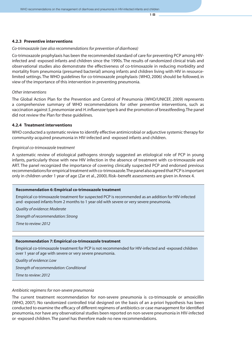### **4.2.3 Preventive interventions**

### *Co-trimoxazole (see also recommendations for prevention of diarrhoea)*

Co-trimoxazole prophylaxis has been the recommended standard of care for preventing PCP among HIVinfected and -exposed infants and children since the 1990s. The results of randomized clinical trials and observational studies also demonstrate the effectiveness of co-trimoxazole in reducing morbidity and mortality from pneumonia (presumed bacterial) among infants and children living with HIV in resourcelimited settings. The WHO guidelines for co-trimoxazole prophylaxis (WHO, 2006) should be followed, in view of the importance of this intervention in preventing pneumonia.

### *Other interventions*

The Global Action Plan for the Prevention and Control of Pneumonia (WHO/UNICEF, 2009) represents a comprehensive summary of WHO recommendations for other preventive interventions, such as vaccination against *S. pneumoniae* and *H. influenzae* type b and the promotion of breastfeeding. The panel did not review the Plan for these guidelines.

### **4.2.4 Treatment interventions**

WHO conducted a systematic review to identify effective antimicrobial or adjunctive systemic therapy for community-acquired pneumonia in HIV-infected and -exposed infants and children.

### *Empirical co-trimoxazole treatment*

A systematic review of etiological pathogens strongly suggested an etiological role of PCP in young infants, particularly those with new HIV infection in the absence of treatment with co-trimoxazole and ART. The panel recognized the importance of covering clinically suspected PCP and endorsed previous recommendations for empirical treatment with co-trimoxazole. The panel also agreed that PCP is important only in children under 1 year of age (Zar et al., 2000). Risk–benefit assessments are given in Annex 4.

### **Recommendation 6: Empirical co-trimoxazole treatment**

Empirical co-trimoxazole treatment for suspected PCP is recommended as an addition for HIV-infected and -exposed infants from 2 months to 1 year old with severe or very severe pneumonia.

*Quality of evidence: Moderate*

*Strength of recommendation: Strong*

*Time to review: 2012*

### **Recommendation 7: Empirical co-trimoxazole treatment**

Empirical co-trimoxazole treatment for PCP is not recommended for HIV-infected and -exposed children over 1 year of age with severe or very severe pneumonia.

*Quality of evidence: Low*

*Strength of recommendation: Conditional*

*Time to review: 2012*

### *Antibiotic regimens for non-severe pneumonia*

The current treatment recommendation for non-severe pneumonia is co-trimoxazole or amoxicillin (WHO, 2007). No randomized controlled trial designed on the basis of an a-priori hypothesis has been conducted to examine the efficacy of different regimens of antibiotics or case management for identified pneumonia, nor have any observational studies been reported on non-severe pneumonia in HIV-infected or -exposed children. The panel has therefore made no new recommendations.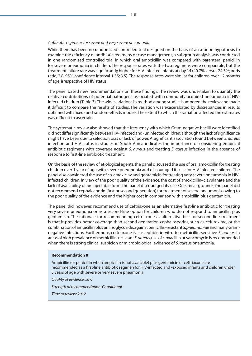### *Antibiotic regimens for severe and very severe pneumonia*

While there has been no randomized controlled trial designed on the basis of an a-priori hypothesis to examine the efficiency of antibiotic regimens or case management, a subgroup analysis was conducted in one randomized controlled trial in which oral amoxicillin was compared with parenteral penicillin for severe pneumonia in children. The response rates with the two regimens were comparable, but the treatment failure rate was significantly higher for HIV-infected infants at day 14 (40.7% versus 24.3%; odds ratio, 2.8; 95% confidence interval 1.35; 3.5). The response rates were similar for children over 12 months of age, irrespective of HIV status.

The panel based new recommendations on these findings. The review was undertaken to quantify the relative contributions of potential pathogens associated with community-acquired pneumonia in HIVinfected children (Table 3). The wide variations in method among studies hampered the review and made it difficult to compare the results of studies. The variation was exacerabated by discrepancies in results obtained with fixed- and random-effects models. The extent to which this variation affected the estimates was difficult to ascertain.

The systematic review also showed that the frequency with which Gram-negative bacilli were identified did not differ significantly between HIV-infected and -uninfected children, although the lack of significance might have been due to selection bias or lack of power. A significant association found between *S. aureus* infection and HIV status in studies in South Africa indicates the importance of considering empirical antibiotic regimens with coverage against *S. aureus* and treating *S. aureus* infection in the absence of response to first-line antibiotic treatment.

On the basis of the review of etiological agents, the panel discussed the use of oral amoxicillin for treating children over 1 year of age with severe pneumonia and discouraged its use for HIV-infected children. The panel also considered the use of co-amoxiclav and gentamicin for treating very severe pneumonia in HIVinfected children. In view of the poor quality of the evidence, the cost of amoxicillin–clavulanate and the lack of availability of an injectable form, the panel discouraged its use. On similar grounds, the panel did not recommend cephalosporin (first or second generation) for treatment of severe pneumonia, owing to the poor quality of the evidence and the higher cost in comparison with ampicillin plus gentamicin.

The panel did, however, recommend use of ceftriaxone as an alternative first-line antibiotic for treating very severe pneumonia or as a second-line option for children who do not respond to ampicillin plus gentamicin. The rationale for recommending ceftriaxone as alternative first- or second-line treatment is that it provides better coverage than second-generation cephalosporins, such as cefuroxime, or the combination of ampicillin plus aminoglycoside, against penicillin-resistant *S. pneumoniae* and many Gramnegative infections. Furthermore, ceftriaxone is susceptible in vitro to methicillin-sensitive *S. aureus.* In areas of high prevalence of methicillin-resistant *S. aureus*, use of cloxacillin or vancomycin is recommended when there is strong clinical suspicion or microbiological evidence of *S. aureus* pneumonia.

### **Recommendation 8**

Ampicillin (or penicillin when ampicillin is not available) plus gentamicin or ceftriaxone are recommended as a first-line antibiotic regimen for HIV-infected and -exposed infants and children under 5 years of age with severe or very severe pneumonia.

*Quality of evidence: Low Strength of recommendation: Conditional Time to review: 2012*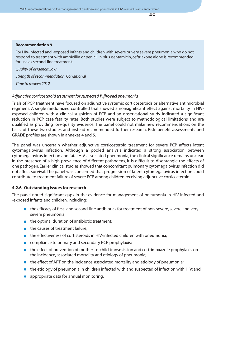### **Recommendation 9**

For HIV-infected and -exposed infants and children with severe or very severe pneumonia who do not respond to treatment with ampicillin or penicillin plus gentamicin, ceftriaxone alone is recommended for use as second-line treatment.

*Quality of evidence: Low* 

*Strength of recommendation: Conditional*

*Time to review: 2012*

### *Adjunctive corticosteroid treatment for suspected P. jiroveci pneumonia*

Trials of PCP treatment have focused on adjunctive systemic corticosteroids or alternative antimicrobial regimens. A single randomized controlled trial showed a nonsignificant effect against mortality in HIVexposed children with a clinical suspicion of PCP, and an observational study indicated a significant reduction in PCP case fatality rates. Both studies were subject to methodological limitations and are qualified as providing low-quality evidence. The panel could not make new recommendations on the basis of these two studies and instead recommended further research. Risk–benefit assessments and GRADE profiles are shown in annexes 4 and 5.

The panel was uncertain whether adjunctive corticosteroid treatment for severe PCP affects latent cytomegalovirus infection. Although a pooled analysis indicated a strong association between cytomegalovirus infection and fatal HIV-associated pneumonia, the clinical significance remains unclear. In the presence of a high prevalence of different pathogens, it is difficult to disentangle the effects of one pathogen. Earlier clinical studies showed that concomitant pulmonary cytomegalovirus infection did not affect survival. The panel was concerned that progression of latent cytomegalovirus infection could contribute to treatment failure of severe PCP among children receiving adjunctive corticosteroid.

### **4.2.6 Outstanding issues for research**

The panel noted significant gaps in the evidence for management of pneumonia in HIV-infected and -exposed infants and children, including:

- the efficacy of first- and second-line antibiotics for treatment of non-severe, severe and very severe pneumonia;
- $\bullet$  the optimal duration of antibiotic treatment;
- the causes of treatment failure;
- the effectiveness of cortisteroids in HIV-infected children with pneumonia;
- **•** compliance to primary and secondary PCP prophylaxis;
- $\bullet$  the effect of prevention of mother-to-child transmission and co-trimoxazole prophylaxis on the incidence, associated mortality and etiology of pneumonia;
- $\bullet$  the effect of ART on the incidence, associated mortality and etiology of pneumonia;
- the etiology of pneumonia in children infected with and suspected of infection with HIV; and
- appropriate data for annual monitoring.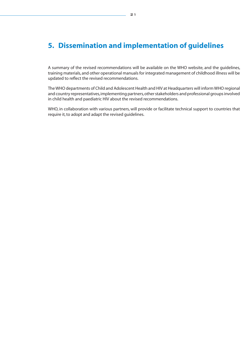# **5. Dissemination and implementation of guidelines**

A summary of the revised recommendations will be available on the WHO website, and the guidelines, training materials, and other operational manuals for integrated management of childhood illness will be updated to reflect the revised recommendations.

The WHO departments of Child and Adolescent Health and HIV at Headquarters will inform WHO regional and country representatives, implementing partners, other stakeholders and professional groups involved in child health and paediatric HIV about the revised recommendations.

WHO, in collaboration with various partners, will provide or facilitate technical support to countries that require it, to adopt and adapt the revised guidelines.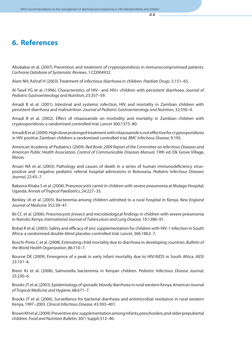# **6. References**

Abubakar et al. (2007). Prevention and treatment of cryptosporidiosis in immunocompromised patients. *Cochrane Database of Systematic Reviews*, 1:CD004932.

Alam NH, Ashraf H (2003). Treatment of infectious diarrhoea in children. *Paediatr Drugs*, 5:151–65.

Al-Tawil YG et al. (1996). Characteristics of HIV– and HIV+ children with persistent diarrhoea. *Journal of Pediatric Gastroenterology and Nutrition*, 23:357–59.

Amadi B et al. (2001). Intestinal and systemic infection, HIV, and mortality in Zambian children with persistent diarrhoea and malnutrition. *Journal of Pediatric Gastroenterology and Nutrition*, 32:550–4.

Amadi B et al. (2002). Effect of nitazoxanide on morbidity and mortality in Zambian children with cryptosporidiosis: a randomised controlled trial. *Lancet* 360:1375–80.

Amadi B et al. (2009). High dose prolonged treatment with nitazoxanide is not effective for cryptosporidiosis in HIV positive Zambian children: a randomised controlled trial. *BMC Infectious Disease,* 9:195.

American Academy of Pediatrics (2009). *Red Book: 2009 Report of the Committee on Infectious Diseases and American Public Health Association, Control of Communicable Diseases Manual*, 19th ed. Elk Grove Village, Illinois.

Ansari NA et al. (2003). Pathology and causes of death in a series of human immunodeficiency viruspositive and -negative pediatric referral hospital admissions in Botswana. *Pediatric Infectious Diseases Journal*, 22:43–7.

Bakeera-Kitaka S et al. (2004). Pneumocystis carinii in children with severe pneumonia at Mulago Hospital, Uganda. *Annals of Tropical Paediatrics*, 24:227–35.

Berkley JA et al. (2005). Bacteremia among children admitted to a rural hospital in Kenya. *New England Journal of Medicine* 352:39–47.

Bii CC et al. (2006). *Pneumocystis jirovecii* and microbiological findings in children with severe pneumonia in Nairobi, Kenya. *International Journal of Tuberculosis and Lung Disease*, 10:1286–91.

Bobat R et al. (2005). Safety and efficacy of zinc supplementation for children with HIV-1 infection in South Africa: a randomised double-blind placebo-controlled trial. *Lancet*, 366:1862–7.

Boschi-Pinto C et al. (2008). Estimating child mortality due to diarrhoea in developing countries. *Bulletin of the World Health Organization*, 86:710–7.

Bourne DE (2009). Emergence of a peak in early infant mortality due to HIV/AIDS in South Africa. *AIDS* 23:101–6.

Brent AJ et al. (2006). Salmonella bacteremia in Kenyan children. *Pediatric Infectious Disease Journal*, 25:230–6.

Brooks JT et al. (2003). Epidemiology of sporadic bloody diarrhoea in rural western Kenya. *American Journal of Tropical Medicine and Hygiene*, 68:671–7.

Brooks JT et al. (2006). Surveillance for bacterial diarrhoea and antimicrobial resistance in rural western Kenya, 1997–2003. *Clinical Infectious Disease*, 43:393–401.

Brown KH et al. (2009). Preventive zinc supplementation among infants, preschoolers, and older prepubertal children. *Food and Nutrition Bulletin*, 30(1 Suppl):S12–40.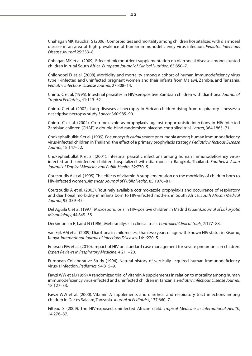Chahagan MK, Kauchali S (2006). Comorbidities and mortality among children hospitalized with diarrhoeal disease in an area of high prevalence of human immunodeficiency virus infection. *Pediatric Infectious Disease Journal* 25:333–8.

Chhagan MK et al. (2009). Effect of micronutrient supplementation on diarrhoeal disease among stunted children in rural South Africa. *European Journal of Clinical Nutrition,* 63:850–7.

Chilongozi D et al. (2008). Morbidity and mortality among a cohort of human immunodeficiency virus type 1-infected and uninfected pregnant women and their infants from Malawi, Zambia, and Tanzania. *Pediatric Infectious Disease Journal*, 27:808–14.

Chintu C et al. (1995). Intestinal parasites in HIV-seropositive Zambian children with diarrhoea. *Journal of Tropical Pediatrics*, 41:149–52.

Chintu C et al. (2002). Lung diseases at necropsy in African children dying from respiratory illnesses: a descriptive necropsy study. *Lancet* 360:985–90.

Chintu C et al. (2004). Co-trimoxazole as prophylaxis against opportunistic infections in HIV-infected Zambian children (CHAP): a double-blind randomised placebo-controlled trial. *Lancet*, 364:1865–71.

Chokephaibulkit K et al. (1999). *Pneumocystis carinii* severe pneumonia among human immunodeficiency virus-infected children in Thailand: the effect of a primary prophylaxis strategy. *Pediatric Infectious Disease Journal*, 18:147–52.

Chokephaibulkit K et al. (2001). Intestinal parasitic infections among human immunodeficiency virusinfected and -uninfected children hospitalized with diarrhoea in Bangkok, Thailand. *Southeast Asian Journal of Tropical Medicine and Public Health*, 32:770–5.

Coutsoudis A et al. (1995). The effects of vitamin A supplementation on the morbidity of children born to HIV-infected women. *American Journal of Public Health,* 85:1076–81.

Coutsoudis A et al. (2005). Routinely available cotrimoxazole prophylaxis and occurrence of respiratory and diarrhoeal morbidity in infants born to HIV-infected mothers in South Africa. *South African Medical Journal*, 95: 339–45.

Del Aguila C et al. (1997). Microsporidiosis in HIV-positive children in Madrid (Spain). *Journal of Eukaryotic Microbiology*, 44:84S–5S.

DerSimonian R, Laird N (1986). Meta-analysis in clinical trials. *Controlled Clinical Trials*, 7:177–88.

van Eijk AM et al. (2009). Diarrhoea in children less than two years of age with known HIV status in Kisumu, Kenya. *International Journal of Infectious Diseases*, 14: e220–5.

Enarson PM et al. (2010). Impact of HIV on standard case management for severe pneumonia in children. *Expert Reviews in Respiratory Medicine*, 4:211–20.

European Collaborative Study (1994). Natural history of vertically acquired human immunodeficiency virus-1 infection. *Pediatrics*, 94:815–9.

Fawzi WW et al. (1999) A randomized trial of vitamin A supplements in relation to mortality among human immunodeficiency virus-infected and uninfected children in Tanzania. *Pediatric Infectious Disease Journal*, 18:127–33.

Fawzi WW et al. (2000). Vitamin A supplements and diarrheal and respiratory tract infections among children in Dar es Salaam, Tanzania. *Journal of Pediatrics*, 137:660–7.

Filteau S (2009). The HIV-exposed, uninfected African child. *Tropical Medicine in International Health*, 14:276–87.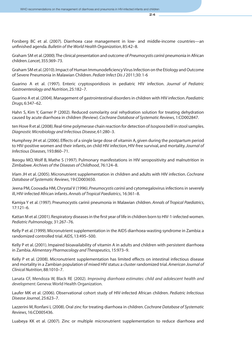Forsberg BC et al. (2007). Diarrhoea case management in low- and middle-income countries—an unfinished agenda. *Bulletin of the World Health Organization*, 85:42–8.

Graham SM et al. (2000). The clinical presentation and outcome of *Pneumocystis carinii* pneumonia in African children. *Lancet*, 355:369–73.

Graham SM et al. (2010). Impact of Human Immunodeficiency Virus Infection on the Etiology and Outcome of Severe Pneumonia in Malawian Children. *Pediatr Infect Dis J* 2011;30: 1-6

Guarino A et al. (1997). Enteric cryptosporidiosis in pediatric HIV infection. *Journal of Pediatric Gastroenterology and Nutrition*, 25:182–7.

Guarino A et al. (2004). Management of gastrointestinal disorders in children with HIV infection. *Paediatric Drugs,* 6:347–62.

Hahn S, Kim Y, Garner P (2002). Reduced osmolarity oral rehydration solution for treating dehydration caused by acute diarrhoea in children (Review). *Cochrane Database of Systematic Reviews*, 1:CD002847.

ten Hove R et al. (2008). Real-time polymerase chain reaction for detection of *Isospora belli* in stool samples. *Diagnostic Microbiology and Infectious Disease*, 61:280–3.

Humphrey JH et al. (2006). Effects of a single large dose of vitamin A, given during the postpartum period to HIV-positive women and their infants, on child HIV infection, HIV-free survival, and mortality. *Journal of Infectious Diseases*, 193:860–71.

Ikeogu MO, Wolf B, Mathe S (1997). Pulmonary manifestations in HIV seropositivity and malnutrition in Zimbabwe. *Archives of the Diseases of Childhood*, 76:124–8.

Irlam JH et al. (2005). Micronutrient supplementation in children and adults with HIV infection. *Cochrane Database of Systematic Reviews*, 19:CD003650.

Jeena PM, Coovadia HM, Chrystal V (1996). *Pneumocystis carinii* and cytomegalovirus infections in severely ill, HIV-infected African infants. *Annals of Tropical Paediatrics*, 16:361–8.

Kamiya Y et al. (1997). Pneumocystis carinii pneumonia in Malawian children. *Annals of Tropical Paediatrics*, 17:121–6.

Kattan M et al. (2001). Respiratory diseases in the first year of life in children born to HIV-1-infected women. *Pediatric Pulmonology*, 31:267–76.

Kelly P et al. (1999). Micronutrient supplementation in the AIDS diarrhoea-wasting syndrome in Zambia: a randomized controlled trial. *AIDS*, 13:495–500.

Kelly P et al. (2001). Impaired bioavailability of vitamin A in adults and children with persistent diarrhoea in Zambia. *Alimentary Pharmacology and Therapeutics*, 15:973–9.

Kelly P et al. (2008). Micronutrient supplementation has limited effects on intestinal infectious disease and mortality in a Zambian population of mixed HIV status: a cluster randomized trial. *American Journal of Clinical Nutrition*, 88:1010–7.

Lanata CF, Mendoza W, Black RE (2002). *Improving diarrhoea estimates: child and adolescent health and development*. Geneva: World Health Organization.

Laufer MK et al. (2006). Observational cohort study of HIV-infected African children. *Pediatric Infectious Disease Journal*, 25:623–7.

Lazzerini M, Ronfani L (2008). Oral zinc for treating diarrhoea in children. *Cochrane Database of Systematic Reviews*, 16:CD005436.

Luabeya KK et al. (2007). Zinc or multiple micronutrient supplementation to reduce diarrhoea and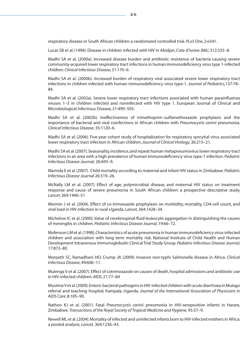respiratory disease in South African children: a randomized controlled trial. *PLoS One*, 2:e541.

Lucas SB et al. (1996). Disease in children infected with HIV in Abidjan, Cote d'Ivoire. *BMJ*, 312:335–8.

Madhi SA et al. (2000a). Increased disease burden and antibiotic resistance of bacteria causing severe community-acquired lower respiratory tract infections in human immunodeficiency virus type 1-infected children. *Clinical Infectious Disease*, 31:170–6.

Madhi SA et al. (2000b). Increased burden of respiratory viral associated severe lower respiratory tract infections in children infected with human immunodeficiency virus type-1. *Journal of Pediatrics,*137:78– 84.

Madhi SA et al. (2002a). Severe lower respiratory tract infections associated with human parainfluenza viruses 1–3 in children infected and noninfected with HIV type 1. European Journal of Clinical and Microbiological Infectious Disease, 21:499–505.

Madhi SA et al. (2002b). Ineffectiveness of trimethoprim–sulfamethoxazole prophylaxis and the importance of bacterial and viral coinfections in African children with *Pneumocystis carinii* pneumonia. *Clinical Infectious Disease*, 35:1120–6.

Madhi SA et al. (2006). Five-year cohort study of hospitalization for respiratory syncytial virus associated lower respiratory tract infection in African children. *Journal of Clinical Virology*, 36:215–21.

Madhi SA et al. (2007). Seasonality, incidence, and repeat human metapneumovirus lower respiratory tract infections in an area with a high prevalence of human immunodeficiency virus type-1 infection. *Pediatric Infectious Disease Journal,* 26:693–9.

Marinda E et al. (2007). Child mortality according to maternal and infant HIV status in Zimbabwe. *Pediatric Infectious Disease J*ournal 26:519–26.

McNally LM et al. (2007). Effect of age, polymicrobial disease, and maternal HIV status on treatment response and cause of severe pneumonia in South African children: a prospective descriptive study. *Lancet*, 369:1440–51

Mermin J et al. (2004). Effect of co-trimoxazole prophylaxis on morbidity, mortality, CD4-cell count, and viral load in HIV infection in rural Uganda. *Lancet*, 364:1428–34.

Michelow IC et al. (2000). Value of cerebrospinal fluid leukocyte aggregation in distinguishing the causes of meningitis in children. *Pediatric Infectious Disease Journal*, 19:66–72.

Mofenson LM et al. (1998). Characteristics of acute pneumonia in human immunodeficiency virus-infected children and association with long term mortality risk. National Institute of Child Health and Human Development Intravenous Immunoglobulin Clinical Trial Study Group. *Pediatric Infectious Disease Journal*, 17:872–80.

Morpeth SC, Ramadhani HO, Crump JA (2009). Invasive non-typhi Salmonella disease in Africa. *Clinical Infectious Disease*, 49:606–11.

Mulenga V et al. (2007). Effect of cotrimoxazole on causes of death, hospital admissions and antibiotic use in HIV-infected children. *AIDS*, 21:77–84

Musiime V et al. (2009). Enteric bacterial pathogens in HIV-infected children with acute diarrhoea in Mulago referral and teaching hospital, Kampala, Uganda*. Journal of the International Association of Physicians in AIDS Care*, 8:185–90.

Nathoo KJ et al. (2001). Fatal *Pneumocystis carinii* pneumonia in HIV-seropositive infants in Harare, Zimbabwe. *Transactions of the Royal Society of Tropical Medicine and Hygiene,* 95:37–9.

Newell ML et al. (2004). Mortality of infected and uninfected infants born to HIV-infected mothers in Africa: a pooled analysis. *Lancet,* 364:1236–43.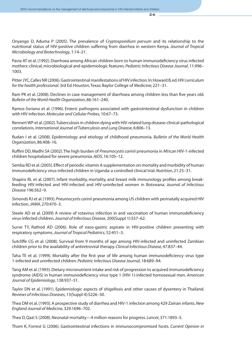Onyango D, Aduma P (2005). The prevalence of *Cryptosporidium parvum* and its relationship to the nutritional status of HIV-positive children suffering from diarrhea in western Kenya. *Journal of Tropical Microbiology and Biotechnology*, 1:14–21.

Pavia AT et al. (1992). Diarrhoea among African children born to human immunodeficiency virus infected mothers: clinical, microbiological and epidemiologic features. *Pediatric Infectious Disease Journal*, 11:996– 1003.

Pitter JYC, Calles NR (2006). Gastrointestinal manifestations of HIV infection. In: Howard B, ed. *HIV curriculum for the health professional*. 3rd Ed. Houston, Texas: Baylor College of Medicine; 221–31.

Ram PK et al. (2008). Declines in case management of diarrhoea among children less than five years old. *Bulletin of the World Health Organization*, 86:161–240.

Ramos-Soriano et al. (1996). Enteric pathogens associated with gastrointestinal dysfunction in children with HIV infection. *Molecular and Cellular Probes*, 10:67–73.

Rennert WP et al. (2002). Tuberculosis in children dying with HIV-related lung disease: clinical-pathological correlations. *International Journal of Tuberculosis and Lung Disease*, 6:806–13.

Rudan I et al. (2008). Epidemiology and etiology of childhood pneumonia. *Bulletin of the World Health Organization*, 86:408–16.

Ruffini DD, Madhi SA (2002). The high burden of *Pneumocystis carinii* pneumonia in African HIV-1-infected children hospitalized for severe pneumonia. *AIDS*, 16:105–12.

Semba RD et al. (2005). Effect of periodic vitamin A supplementation on mortality and morbidity of human immunodeficiency virus-infected children in Uganda: a controlled clinical trial. *Nutrition*, 21:25–31.

Shapiro RL et al. (2007). Infant morbidity, mortality, and breast milk immunology profiles among breakfeeding HIV-infected and HIV-infected and HIV-uninfected women in Botswana. *Journal of Infectious Dis*e*ase* 196:562–9.

Simonds RJ et al. (1993). *Pneumocystis carinii* pneumonia among US children with perinatally acquired HIV infection. *JAMA*, 270:470–3.

Steele AD et al. (2009) A review of rotavirus infection in and vaccination of human immunodeficiency virus-infected children. *Journal of Infectious Disease*, 200(Suppl 1):S57–62.

Surve TY, Rathod AD (2006). Role of naso-gastric aspirate in HIV-positive children presenting with respiratory symptoms. *Journal of Tropical Pediatrics*, 52:451–3.

Sutcliffe CG et al. (2008). Survival from 9 months of age among HIV-infected and uninfected Zambian children prior to the availability of antiretroviral therapy. *Clinical Infectious Disease*, 47:837–44.

Taha TE et al. (1999). Mortality after the first year of life among human immunodeficiency virus type 1-infected and uninfected children. *Pediatric Infectious Disease Journal*, 18:689–94.

Tang AM et al. (1993). Dietary micronutrient intake and risk of progression to acquired immunodeficiency syndrome (AIDS) in human immunodeficiency virus type 1 (HIV-1)-infected homosexual men. *American Journal of Epidemiology*, 138:937–51.

Taylor DN et al. (1991). Epidemiologic aspects of shigellosis and other causes of dysentery in Thailand. *Reviews of Infectious Diseases*, 13(Suppl 4):S226–30.

Thea DM et al. (1993). A prospective study of diarrhea and HIV-1 infection among 429 Zairian infants. *New England Journal of Medicine*, 329:1696–702.

Thea D, Qazi S (2008). Neonatal mortality—4 million reasons for progress. *Lancet*, 371:1893–5.

Thom K, Forrest G (2006). Gastrointestinal infections in immunocompromised hosts. *Current Opinion in*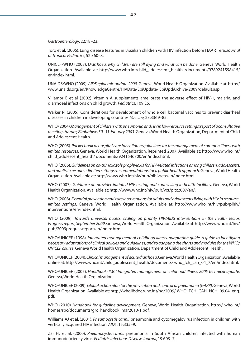*Gastroenterology*, 22:18–23.

Toro et al. (2006). Lung disease features in Brazilian children with HIV infection before HAART era. *Journal of Tropical Pediatrics*, 52:360–8.

UNICEF/WHO (2008). *Diarrhoea: why children are still dying and what can be done*. Geneva, World Health Organization. Available at: http://www.who.int/child\_adolescent\_health /documents/9789241598415/ en/index.html.

UNAIDS/WHO (2009). *AIDS epidemic update 2009*. Geneva, World Health Organization. Available at: http:// www.unaids.org/en/KnowledgeCentre/HIVData/EpiUpdate/ EpiUpdArchive/2009/default.asp.

Villamor E et al (2002). Vitamin A supplements ameliorate the adverse effect of HIV-1, malaria, and diarrhoeal infections on child growth. *Pediatrics*, 109:E6.

Walker RI (2005). Considerations for development of whole cell bacterial vaccines to prevent diarrheal diseases in children in developing countries. *Vaccine,* 23:3369–85.

WHO (2004). *Management of children with pneumonia and HIV in low-resource settings: report of a consultative meeting*, *Harare, Zimbabwe, 30–31 January 2003*. Geneva, World Health Organization, Department of Child and Adolescent Health.

WHO (2005). *Pocket book of hospital care for children: guidelines for the management of common illness with limited resources*. Geneva, World Health Organization. Reprinted 2007. Available at: http://www.who.int/ child\_adolescent\_health/ documents/9241546700/en/index.html.

WHO (2006). *Guidelines on co-trimoxazole prophylaxis for HIV-related infections among children, adolescents, and adults in resource-limited settings: recommendations for a public health approach*. Geneva, World Health Organization. Available at: http://www.who.int/hiv/pub/plhiv/ctx/en/index.html.

WHO (2007). *Guidance on provider-initiated HIV testing and counselling in health facilities*. Geneva, World Health Organization. Available at: http://www.who.int/hiv/pub/vct/pitc2007/en/.

WHO (2008). *Essential prevention and care interventions for adults and adolescents living with HIV in resourcelimited settings*. Geneva, World Health Organization. Available at: http://www.who.int/hiv/pub/plhiv/ interventions/en/index.html.

WHO (2009). *Towards universal access: scaling up priority HIV/AIDS interventions in the health sector*. *Progress report, September 2009*. Geneva, World Health Organization. Available at: http://www.who.int/hiv/ pub/2009progressreport/en/index.html.

WHO/UNICEF (1998). *Integrated management of childhood illness, adaptation guide. A guide to identifying necessary adaptations of clinical policies and guidelines, and to adapting the charts and modules for the WHO/ UNICEF course*. Geneva World Health Organization, Department of Child and Adolescent Health.

WHO/UNICEF (2004). *Clinical management of acute diarrhoea*. Geneva, World Health Organization.Available online at: http://www.who.int/child\_adolescent\_health/documents/ who\_fch\_cah\_04\_7/en/index.html.

WHO/UNICEF (2005). *Handbook: IMCI Integrated management of childhood illness, 2005 technical update.* Geneva, World Health Organization.

WHO/UNICEF (2009). *Global action plan for the prevention and control of pneumonia (GAPP).* Geneva, World Health Organization. Available at: http://whqlibdoc.who.int/hq/2009/ WHO\_FCH\_CAH\_NCH\_09.04\_eng. pdf.

WHO (2010) *Handbook for guideline development*. Geneva, World Health Organization. http:// who.int/ homes/rpc/documents/grc\_handbook\_mar2010-1.pdf.

Williams AJ et al. (2001). *Pneumocystis carinii* pneumonia and cytomegalovirus infection in children with vertically acquired HIV infection. *AIDS*, 15:335–9.

Zar HJ et al. (2000). *Pneumocystis carinii* pneumonia in South African children infected with human immunodeficiency virus. *Pediatric Infectious Disease Journal*, 19:603–7.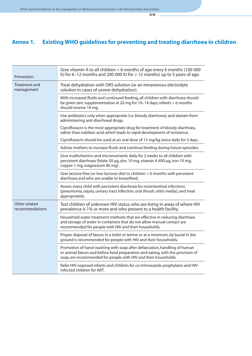# **Annex 1. Existing WHO guidelines for preventing and treating diarrhoea in children**

| Prevention                       | Give vitamin A to all children $> 6$ months of age every 6 months (100 000<br>IU for 6-12 months and 200 000 IU for $\geq$ 12 months) up to 5 years of age.                                                                   |  |  |  |
|----------------------------------|-------------------------------------------------------------------------------------------------------------------------------------------------------------------------------------------------------------------------------|--|--|--|
| Treatment and<br>management      | Treat dehydration with ORS solution (or an intravenous electrolyte<br>solution in cases of severe dehydration).                                                                                                               |  |  |  |
|                                  | With increased fluids and continued feeding, all children with diarrhoea should<br>be given zinc supplementation at 20 mg for 10-14 days; infants < 6 months<br>should receive 10 mg.                                         |  |  |  |
|                                  | Use antibiotics only when appropriate (i.e. bloody diarrhoea), and abstain from<br>administering anti-diarrhoeal drugs.                                                                                                       |  |  |  |
|                                  | Ciprofloxacin is the most appropriate drug for treatment of bloody diarrhoea,<br>rather than nalidixic acid, which leads to rapid development of resistance.                                                                  |  |  |  |
|                                  | Ciprofloxacin should be used at an oral dose of 15 mg/kg twice daily for 3 days.                                                                                                                                              |  |  |  |
|                                  | Advise mothers to increase fluids and continue feeding during future episodes.                                                                                                                                                |  |  |  |
|                                  | Give multivitamins and micronutrients daily for 2 weeks to all children with<br>persistent diarrhoea (folate 50 µg, zinc 10 mg, vitamin A 400 µg, iron 10 mg,<br>copper 1 mg, magnesium 80 mg).                               |  |  |  |
|                                  | Give lactose-free (or low-lactose) diet to children > 6 months with persistent<br>diarrhoea and who are unable to breastfeed.                                                                                                 |  |  |  |
|                                  | Assess every child with persistent diarrhoea for nonintestinal infections<br>(pneumonia, sepsis, urinary tract infection, oral thrush, otitis media), and treat<br>appropriately.                                             |  |  |  |
| Other related<br>recommendations | Test children of unknown HIV status, who are living in areas of where HIV<br>prevalence is 1% or more and who present to a health facility.                                                                                   |  |  |  |
|                                  | Household water treatment methods that are effective in reducing diarrhoea<br>and storage of water in containers that do not allow manual contact are<br>recommended for people with HIV and their households.                |  |  |  |
|                                  | Proper disposal of faeces in a toilet or latrine or at a minimum, by burial in the<br>ground is recommended for people with HIV and their households.                                                                         |  |  |  |
|                                  | Promotion of hand-washing with soap after defaecation, handling of human<br>or animal faeces and before food preparation and eating, with the provision of<br>soap, are recommended for people with HIV and their households. |  |  |  |
|                                  | Refer HIV-exposed infants and children for co-trimoxazole prophylaxis and HIV-<br>infected children for ART.                                                                                                                  |  |  |  |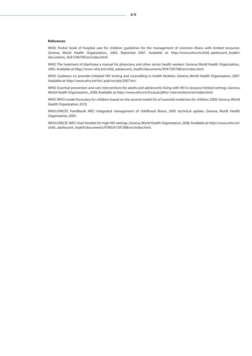### **References**

WHO. Pocket book of hospital care for children: guidelines for the management of common illness with limited resources. Geneva, World Health Organization,, 2005. Reprinted 2007. Available at: http://www.who.int/child\_adolescent\_health/ documents\_9241546700/en/index.html.

WHO. The treatment of diarrhoea: a manual for physicians and other senior health workers. Geneva, World Health Organization,, 2005. Available at: http://www. who.int/child\_adolescent\_health/documents/9241593180/en/index.html.

WHO. Guidance on provider-initiated HIV testing and counselling in health facilities. Geneva, World Health Organization, 2007. Available at: http://www.who.int/hiv/ pub/vct/pitc2007/en/.

WHO. Essential prevention and care interventions for adults and adolescents living with HIV in resource-limited settings. Geneva, World Health Organization,, 2008. Available at: http://www.who.int/hiv/pub/plhiv/ interventions/en/index.html.

WHO. WHO model formulary for children: based on the second model list of essential medicines for children 2009. Geneva, World Health Organization, 2010.

WHO/UNICEF. Handbook: IMCI Integrated management of childhood illness, 2005 technical update. Geneva, World Health Organization, 2005.

WHO/UNICEF. IMCI chart booklet for high HIV settings. Geneva, World Health Organization, 2008. Available at: http://www.who.int/ child\_adolescent\_health/documents/9789241597388/en/index.html.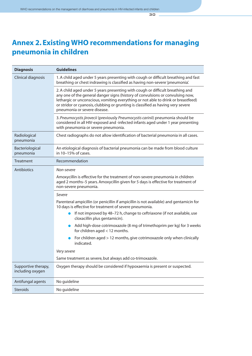# **Annex 2. Existing WHO recommendations for managing pneumonia in children**

| <b>Diagnosis</b>                        | <b>Guidelines</b>                                                                                                                                                                                                                                                                                                                                                         |  |  |  |
|-----------------------------------------|---------------------------------------------------------------------------------------------------------------------------------------------------------------------------------------------------------------------------------------------------------------------------------------------------------------------------------------------------------------------------|--|--|--|
| Clinical diagnosis                      | 1. A child aged under 5 years presenting with cough or difficult breathing and fast<br>breathing or chest indrawing is classified as having non-severe 'pneumonia'.                                                                                                                                                                                                       |  |  |  |
|                                         | 2. A child aged under 5 years presenting with cough or difficult breathing and<br>any one of the general danger signs (history of convulsions or convulsing now,<br>lethargic or unconscious, vomiting everything or not able to drink or breastfeed)<br>or stridor or cyanosis, clubbing or grunting is classified as having very severe<br>pneumonia or severe disease. |  |  |  |
|                                         | 3. Pneumocystis jirovecii (previously Pneumocystis carinii) pneumonia should be<br>considered in all HIV-exposed and -infected infants aged under 1 year presenting<br>with pneumonia or severe pneumonia.                                                                                                                                                                |  |  |  |
| Radiological<br>pneumonia               | Chest radiographs do not allow identification of bacterial pneumonia in all cases.                                                                                                                                                                                                                                                                                        |  |  |  |
| Bacteriological<br>pneumonia            | An etiological diagnosis of bacterial pneumonia can be made from blood culture<br>in 10-15% of cases.                                                                                                                                                                                                                                                                     |  |  |  |
| <b>Treatment</b>                        | Recommendation                                                                                                                                                                                                                                                                                                                                                            |  |  |  |
| Antibiotics                             | Non-severe<br>Amoxycillin is effective for the treatment of non-severe pneumonia in children<br>aged 2 months-5 years. Amoxycillin given for 5 days is effective for treatment of<br>non-severe pneumonia.                                                                                                                                                                |  |  |  |
|                                         | Severe                                                                                                                                                                                                                                                                                                                                                                    |  |  |  |
|                                         | Parenteral ampicillin (or penicillin if ampicillin is not available) and gentamicin for<br>10 days is effective for treatment of severe pneumonia.                                                                                                                                                                                                                        |  |  |  |
|                                         | If not improved by 48-72 h, change to ceftriaxone (if not available, use<br>$\bullet$<br>cloxacillin plus gentamicin).                                                                                                                                                                                                                                                    |  |  |  |
|                                         | Add high-dose cotrimoxazole (8 mg of trimethoprim per kg) for 3 weeks<br>for children aged $<$ 12 months.                                                                                                                                                                                                                                                                 |  |  |  |
|                                         | For children aged > 12 months, give cotrimoxazole only when clinically<br>indicated.                                                                                                                                                                                                                                                                                      |  |  |  |
|                                         | Very severe                                                                                                                                                                                                                                                                                                                                                               |  |  |  |
|                                         | Same treatment as severe, but always add co-trimoxazole.                                                                                                                                                                                                                                                                                                                  |  |  |  |
| Supportive therapy,<br>including oxygen | Oxygen therapy should be considered if hypoxaemia is present or suspected.                                                                                                                                                                                                                                                                                                |  |  |  |
| Antifungal agents                       | No guideline                                                                                                                                                                                                                                                                                                                                                              |  |  |  |
| <b>Steroids</b>                         | No guideline                                                                                                                                                                                                                                                                                                                                                              |  |  |  |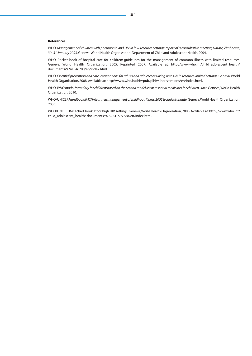### **References**

WHO. *Management of children with pneumonia and HIV in low-resource settings: report of a consultative meeting, Harare, Zimbabwe, 30–31 January 2003*. Geneva, World Health Organization, Department of Child and Adolescent Health, 2004.

WHO. Pocket book of hospital care for children: guidelines for the management of common illness with limited resources. Geneva, World Health Organization, 2005. Reprinted 2007. Available at: http://www.who.int/child\_adolescent\_health/ documents/9241546700/en/index.html.

WHO. *Essential prevention and care interventions for adults and adolescents living with HIV in resource-limited settings*. Geneva, World Health Organization, 2008. Available at: http://www.who.int/hiv/pub/plhiv/ interventions/en/index.html.

WHO. *WHO model formulary for children: based on the second model list of essential medicines for children 2009.* Geneva, World Health Organization, 2010.

WHO/UNICEF. *Handbook: IMCI Integrated management of childhood illness, 2005 technical update.* Geneva, World Health Organization, 2005.

WHO/UNICEF. IMCI chart booklet for high HIV settings. Geneva, World Health Organization, 2008. Available at: http://www.who.int/ child\_adolescent\_health/ documents/9789241597388/en/index.html.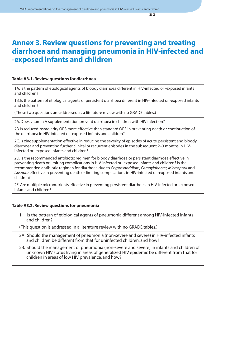# **Annex 3. Review questions for preventing and treating diarrhoea and managing pneumonia in HIV-infected and -exposed infants and children**

### **Table A3.1. Review questions for diarrhoea**

1A. Is the pattern of etiological agents of bloody diarrhoea different in HIV-infected or -exposed infants and children?

1B. Is the pattern of etiological agents of persistent diarrhoea different in HIV-infected or -exposed infants and children?

(These two questions are addressed as a literature review with no GRADE tables.)

2A. Does vitamin A supplementation prevent diarrhoea in children with HIV infection?

2B. Is reduced-osmolarity ORS more effective than standard ORS in preventing death or continuation of the diarrhoea in HIV-infected or -exposed infants and children?

2C. Is zinc supplementation effective in reducing the severity of episodes of acute, persistent and bloody diarrhoea and preventing further clinical or recurrent episodes in the subsequent 2–3 months in HIVinfected or -exposed infants and children?

2D. Is the recommended antibiotic regimen for bloody diarrhoea or persistent diarrhoea effective in preventing death or limiting complications in HIV-infected or -exposed infants and children? Is the recommended antibiotic regimen for diarrhoea due to *Cryptosporidium, Campylobacter, Microspora* and *Isospora* effective in preventing death or limiting complications in HIV-infected or -exposed infants and children?

2E. Are multiple micronutrients effective in preventing persistent diarrhoea in HIV-infected or -exposed infants and children?

### **Table A3.2. Review questions for pneumonia**

1. Is the pattern of etiological agents of pneumonia different among HIV-infected infants and children?

(This question is addressed in a literature review with no GRADE tables.)

- 2A. Should the management of pneumonia (non-severe and severe) in HIV-infected infants and children be different from that for uninfected children, and how?
- 2B. Should the management of pneumonia (non-severe and severe) in infants and children of unknown HIV status living in areas of generalized HIV epidemic be different from that for children in areas of low HIV prevalence, and how?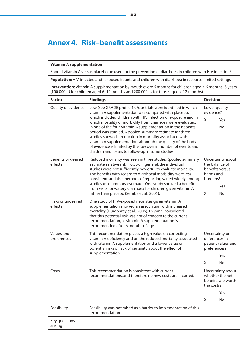# **Annex 4. Risk–benefit assessments**

### **Vitamin A supplementation**

Should vitamin A versus placebo be used for the prevention of diarrhoea in children with HIV infection?

**Population**: HIV-infected and -exposed infants and children with diarrhoea in resource-limited settings

**Intervention:** Vitamin A supplementation by mouth every 6 months for children aged > 6 months–5 years (100 000 IU for children aged 6–12 months and 200 000 IU for those aged > 12 months)

| <b>Factor</b>                  | <b>Findings</b>                                                                                                                                                                                                                                                                                                                                                           | <b>Decision</b>                                                                 |                                                                          |  |
|--------------------------------|---------------------------------------------------------------------------------------------------------------------------------------------------------------------------------------------------------------------------------------------------------------------------------------------------------------------------------------------------------------------------|---------------------------------------------------------------------------------|--------------------------------------------------------------------------|--|
| Quality of evidence            | Low (see GRADE profile 1). Four trials were identified in which<br>vitamin A supplementation was compared with placebo,                                                                                                                                                                                                                                                   |                                                                                 | Lower quality<br>evidence?                                               |  |
|                                | which included children with HIV infection or exposure and in<br>which mortality or morbidity from diarrhoea were evaluated.                                                                                                                                                                                                                                              | X                                                                               | Yes                                                                      |  |
|                                | In one of the four, vitamin A supplementation in the neonatal<br>period was studied. A pooled summary estimate for three<br>studies showed a reduction in mortality associated with<br>vitamin A supplementation, although the quality of the body<br>of evidence is limited by the low overall number of events and<br>children and losses to follow-up in some studies. |                                                                                 | <b>No</b>                                                                |  |
| Benefits or desired<br>effects | Reduced mortality was seen in three studies (pooled summary<br>estimate, relative risk = $0.55$ ). In general, the individual<br>studies were not sufficiently powerful to evaluate mortality.<br>The benefits with regard to diarrhoeal morbidity were less<br>consistent, and the methods of reporting varied widely among                                              | Uncertainty about<br>the balance of<br>benefits versus<br>harms and<br>burdens? |                                                                          |  |
|                                | studies (no summary estimate). One study showed a benefit<br>from visits for watery diarrhoea for children given vitamin A                                                                                                                                                                                                                                                |                                                                                 | Yes                                                                      |  |
|                                | rather than placebo (Semba et al., 2005).                                                                                                                                                                                                                                                                                                                                 | X                                                                               | No                                                                       |  |
| Risks or undesired<br>effects  | One study of HIV-exposed neonates given vitamin A<br>supplementation showed an association with increased<br>mortality (Humphrey et al., 2006). Th panel considered<br>that this potential risk was not of concern to the current<br>recommendation, as vitamin A supplementation is<br>recommended after 6 months of age.                                                |                                                                                 |                                                                          |  |
| Values and<br>preferences      | This recommendation places a high value on correcting<br>vitamin A deficiency and on the reduced mortality associated<br>with vitamin A supplementation and a lower value on<br>potential risks or lack of certainty about the effect of<br>supplementation.                                                                                                              |                                                                                 | Uncertainty or<br>differences in<br>patient values and<br>preferences?   |  |
|                                |                                                                                                                                                                                                                                                                                                                                                                           |                                                                                 | Yes                                                                      |  |
|                                |                                                                                                                                                                                                                                                                                                                                                                           | X                                                                               | No                                                                       |  |
| Costs                          | This recommendation is consistent with current<br>recommendations, and therefore no new costs are incurred.                                                                                                                                                                                                                                                               |                                                                                 | Uncertainty about<br>whether the net<br>benefits are worth<br>the costs? |  |
|                                |                                                                                                                                                                                                                                                                                                                                                                           |                                                                                 | Yes                                                                      |  |
|                                |                                                                                                                                                                                                                                                                                                                                                                           | X                                                                               | No                                                                       |  |
| Feasibility                    | Feasibility was not raised as a barrier to implementation of this<br>recommendation.                                                                                                                                                                                                                                                                                      |                                                                                 |                                                                          |  |
| Key questions<br>arising       |                                                                                                                                                                                                                                                                                                                                                                           |                                                                                 |                                                                          |  |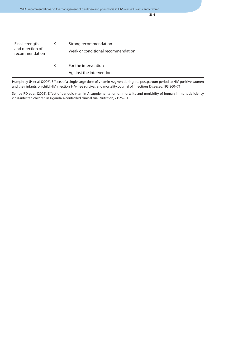WHO recommendations on the management of diarrhoea and pneumonia in HIV-infected infants and children

34

| Final strength<br>and direction of<br>recommendation | X | Strong recommendation<br>Weak or conditional recommendation |
|------------------------------------------------------|---|-------------------------------------------------------------|
|                                                      | X | For the intervention<br>Against the intervention            |

Humphrey JH et al. (2006). Effects of a single large dose of vitamin A, given during the postpartum period to HIV-positive women and their infants, on child HIV infection, HIV-free survival, and mortality. Journal of Infectious Diseases, 193:860–71.

Semba RD et al. (2005). Effect of periodic vitamin A supplementation on mortality and morbidity of human immunodeficiency virus-infected children in Uganda: a controlled clinical trial. Nutrition, 21:25–31.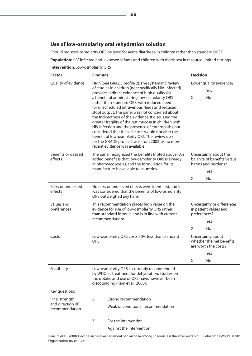### **Use of low-osmolarity oral rehydration solution**

Should reduced-osmolarity ORS be used for acute diarrhoea in children rather than standard ORS?

**Population**: HIV-infected and -exposed infants and children with diarrhoea in resource-limited settings **Intervention**: Low-osmolarity ORS

| <b>Factor</b>                                                                                                                                                                                                                            | <b>Findings</b>                                                                                                                                                                                                                                                                                                                                                                                                                                                                                                                                                                                                                                                                                                                     | <b>Decision</b>                                                                             |
|------------------------------------------------------------------------------------------------------------------------------------------------------------------------------------------------------------------------------------------|-------------------------------------------------------------------------------------------------------------------------------------------------------------------------------------------------------------------------------------------------------------------------------------------------------------------------------------------------------------------------------------------------------------------------------------------------------------------------------------------------------------------------------------------------------------------------------------------------------------------------------------------------------------------------------------------------------------------------------------|---------------------------------------------------------------------------------------------|
| Quality of evidence                                                                                                                                                                                                                      | High (See GRADE profile 2). The systematic review<br>of studies in children (not specifically HIV-infected)<br>provides indirect evidence of high quality for<br>a benefit of administering low-osmolarity ORS<br>rather than standard ORS, with reduced need<br>for unscheduled intravenous fluids and reduced<br>stool output. The panel was not concerned about<br>the indirectness of the evidence. It discussed the<br>greater fragility of the gut mucosa in children with<br>HIV infection and the presence of enteropathy but<br>considered that these factors would not alter the<br>benefit of low-osmolarity ORS. The review used<br>for the GRADE profile 2 was from 2002, as no more<br>recent evidence was available. | Lower quality evidence?<br>Yes<br>Χ<br>No                                                   |
| Benefits or desired<br>The panel recognized the benefits (noted above). An<br>effects<br>added benefit is that low-osmolarity ORS is already<br>in pharmacopoeias, and the formulation for its<br>manufacture is available to countries. |                                                                                                                                                                                                                                                                                                                                                                                                                                                                                                                                                                                                                                                                                                                                     | Uncertainty about the<br>balance of benefits versus<br>harms and burdens?<br>Yes<br>X<br>No |
| Risks or undesired<br>effects                                                                                                                                                                                                            | No risks or undesired effects were identified, and it<br>was considered that the benefits of low-osmolarity<br>ORS outweighed any harm.                                                                                                                                                                                                                                                                                                                                                                                                                                                                                                                                                                                             |                                                                                             |
| Values and<br>preferences                                                                                                                                                                                                                | This recommendation places high value on the<br>evidence for use of low-osmolarity ORS rather<br>than standard formula and is in line with current<br>recommendations.                                                                                                                                                                                                                                                                                                                                                                                                                                                                                                                                                              | Uncertainty or differences<br>in patient values and<br>preferences?<br>Yes<br>X<br>No       |
| Costs                                                                                                                                                                                                                                    | Low-osmolarity ORS costs 70% less than standard<br><b>ORS</b>                                                                                                                                                                                                                                                                                                                                                                                                                                                                                                                                                                                                                                                                       | Uncertainty about<br>whether the net benefits<br>are worth the costs?<br>Yes<br>X.<br>No    |
| Feasibility                                                                                                                                                                                                                              | Low-osmolarity ORS is currently recommended<br>by WHO as treatment for dehydration. Studies on<br>the uptake and use of ORS have, however, been<br>discouraging (Ram et al., 2008).                                                                                                                                                                                                                                                                                                                                                                                                                                                                                                                                                 |                                                                                             |
| Key questions                                                                                                                                                                                                                            |                                                                                                                                                                                                                                                                                                                                                                                                                                                                                                                                                                                                                                                                                                                                     |                                                                                             |
| Final strength<br>and direction of<br>recommendation                                                                                                                                                                                     | X<br>Strong recommendation<br>Weak or conditional recommendation                                                                                                                                                                                                                                                                                                                                                                                                                                                                                                                                                                                                                                                                    |                                                                                             |
|                                                                                                                                                                                                                                          | X<br>For the intervention<br>Against the intervention                                                                                                                                                                                                                                                                                                                                                                                                                                                                                                                                                                                                                                                                               |                                                                                             |

Ram PK et al. (2008). Declines in case management of diarrhoea among children less than five years old. Bulletin of the World Health Organization, 86:161–240.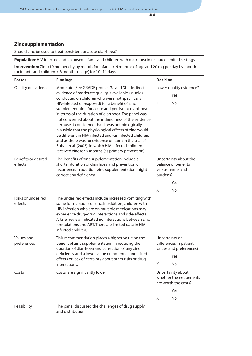### **Zinc supplementation**

Should zinc be used to treat persistent or acute diarrhoea?

**Population**: HIV-infected and -exposed infants and children with diarrhoea in resource-limited settings

**Intervention:** Zinc (10 mg per day by mouth for infants < 6 months of age and 20 mg per day by mouth for infants and children  $> 6$  months of age) for 10–14 days

| <b>Factor</b>                  | <b>Findings</b>                                                                                                                                                                                                                                                                                                                                                                                                                                                                                                                                                                                                                                                                                                                      | <b>Decision</b>                                                                         |
|--------------------------------|--------------------------------------------------------------------------------------------------------------------------------------------------------------------------------------------------------------------------------------------------------------------------------------------------------------------------------------------------------------------------------------------------------------------------------------------------------------------------------------------------------------------------------------------------------------------------------------------------------------------------------------------------------------------------------------------------------------------------------------|-----------------------------------------------------------------------------------------|
| Quality of evidence            | Moderate (See GRADE profiles 3a and 3b). Indirect<br>evidence of moderate quality is available. (studies<br>conducted on children who were not specifically<br>HIV-infected or -exposed) for a benefit of zinc<br>supplementation for acute and persistent diarrhoea<br>in terms of the duration of diarrhoea. The panel was<br>not concerned about the indirectness of the evidence<br>because it considered that it was not biologically<br>plausible that the physiological effects of zinc would<br>be different in HIV-infected and -uninfected children,<br>and as there was no evidence of harm in the trial of<br>Bobat et al. (2005), in which HIV-infected children<br>received zinc for 6 months (as primary prevention). | Lower quality evidence?<br>Yes<br>Χ<br>No                                               |
| Benefits or desired<br>effects | The benefits of zinc supplementation include a<br>shorter duration of diarrhoea and prevention of<br>recurrence. In addition, zinc supplementation might<br>correct any deficiency.                                                                                                                                                                                                                                                                                                                                                                                                                                                                                                                                                  | Uncertainty about the<br>balance of benefits<br>versus harms and<br>burdens?<br>Yes     |
|                                |                                                                                                                                                                                                                                                                                                                                                                                                                                                                                                                                                                                                                                                                                                                                      | X<br>No                                                                                 |
| Risks or undesired<br>effects  | The undesired effects include increased vomiting with<br>some formulations of zinc. In addition, children with<br>HIV infection who are on multiple medications may<br>experience drug-drug interactions and side-effects.<br>A brief review indicated no interactions between zinc<br>formulations and ART. There are limited data in HIV-<br>infected children.                                                                                                                                                                                                                                                                                                                                                                    |                                                                                         |
| Values and<br>preferences      | This recommendation places a higher value on the<br>benefit of zinc supplementation in reducing the<br>duration of diarrhoea and correction of any zinc<br>deficiency and a lower value on potential undesired<br>effects or lack of certainty about other risks or drug<br>interactions.                                                                                                                                                                                                                                                                                                                                                                                                                                            | Uncertainty or<br>differences in patient<br>values and preferences?<br>Yes<br>Χ<br>No   |
| Costs                          | Costs are significantly lower                                                                                                                                                                                                                                                                                                                                                                                                                                                                                                                                                                                                                                                                                                        | Uncertainty about<br>whether the net benefits<br>are worth the costs?<br>Yes<br>X<br>No |
| Feasibility                    | The panel discussed the challenges of drug supply<br>and distribution.                                                                                                                                                                                                                                                                                                                                                                                                                                                                                                                                                                                                                                                               |                                                                                         |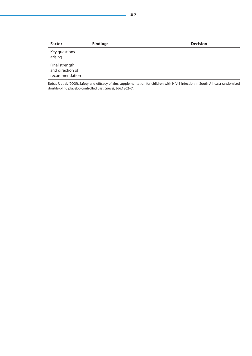| <b>Factor</b>                                        | <b>Findings</b> | <b>Decision</b> |
|------------------------------------------------------|-----------------|-----------------|
| Key questions<br>arising                             |                 |                 |
| Final strength<br>and direction of<br>recommendation |                 |                 |

Bobat R et al. (2005). Safety and efficacy of zinc supplementation for children with HIV-1 infection in South Africa: a randomised double-blind placebo-controlled trial. *Lancet*, 366:1862–7.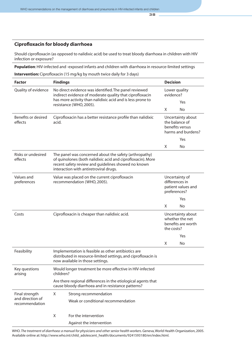### **Ciprofloxacin for bloody diarrhoea**

Should ciprofloxacin (as opposed to nalidixic acid) be used to treat bloody diarrhoea in children with HIV infection or exposure?

**Population**: HIV-infected and -exposed infants and children with diarrhoea in resource-limited settings

**Intervention:** Ciprofloxacin (15 mg/kg by mouth twice daily for 3 days)

| <b>Factor</b>                      | <b>Findings</b>                                                                                                                                                                                                        | <b>Decision</b>                |                                                                              |
|------------------------------------|------------------------------------------------------------------------------------------------------------------------------------------------------------------------------------------------------------------------|--------------------------------|------------------------------------------------------------------------------|
| Quality of evidence                | No direct evidence was identified. The panel reviewed<br>indirect evidence of moderate quality that ciprofloxacin                                                                                                      | Lower quality<br>evidence?     |                                                                              |
|                                    | has more activity than nalidixic acid and is less prone to<br>resistance (WHO, 2005).                                                                                                                                  |                                | Yes                                                                          |
|                                    |                                                                                                                                                                                                                        | X                              | No                                                                           |
| Benefits or desired<br>effects     | Ciprofloxacin has a better resistance profile than nalidixic<br>acid.                                                                                                                                                  |                                | Uncertainty about<br>the balance of<br>benefits versus<br>harms and burdens? |
|                                    |                                                                                                                                                                                                                        |                                | Yes                                                                          |
|                                    |                                                                                                                                                                                                                        | X                              | No.                                                                          |
| Risks or undesired<br>effects      | The panel was concerned about the safety (arthropathy)<br>of quinolones (both nalidixic acid and ciprofloxacin). More<br>recent safety review and guidelines showed no known<br>interaction with antiretroviral drugs. |                                |                                                                              |
| Values and<br>preferences          | Value was placed on the current ciprofloxacin<br>recommendation (WHO, 2005).                                                                                                                                           | differences in<br>preferences? | Uncertainty of<br>patient values and                                         |
|                                    |                                                                                                                                                                                                                        |                                | Yes                                                                          |
|                                    |                                                                                                                                                                                                                        | X                              | No.                                                                          |
| Costs                              | Ciprofloxacin is cheaper than nalidixic acid.                                                                                                                                                                          | the costs?                     | Uncertainty about<br>whether the net<br>benefits are worth                   |
|                                    |                                                                                                                                                                                                                        |                                | Yes                                                                          |
|                                    |                                                                                                                                                                                                                        | X                              | No                                                                           |
| Feasibility                        | Implementation is feasible as other antibiotics are<br>distributed in resource-limited settings, and ciprofloxacin is<br>now available in those settings.                                                              |                                |                                                                              |
| Key questions<br>arising           | Would longer treatment be more effective in HIV-infected<br>children?                                                                                                                                                  |                                |                                                                              |
|                                    | Are there regional differences in the etiological agents that<br>cause bloody diarrhoea and in resistance patterns?                                                                                                    |                                |                                                                              |
| Final strength                     | X<br>Strong recommendation                                                                                                                                                                                             |                                |                                                                              |
| and direction of<br>recommendation | Weak or conditional recommendation                                                                                                                                                                                     |                                |                                                                              |
|                                    | X<br>For the intervention                                                                                                                                                                                              |                                |                                                                              |
|                                    | Against the intervention                                                                                                                                                                                               |                                |                                                                              |

WHO. *The treatment of diarrhoea: a manual for physicians and other senior health workers*. Geneva, World Health Organization, 2005. Available online at: http://www.who.int/child\_adolescent\_health/documents/9241593180/en/index.html.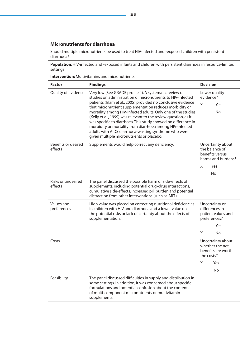### **Micronutrients for diarrhoea**

Should multiple micronutrients be used to treat HIV-infected and -exposed children with persistent diarrhoea?

**Population**: HIV-infected and -exposed infants and children with persistent diarrhoea in resource-limited settings

**Intervention:** Multivitamins and micronutrients

| <b>Factor</b>                  | <b>Findings</b>                                                                                                                                                                                                                                                                                                                                                                                                                                                                                                                                                                                                        | <b>Decision</b>      |                                                                                           |
|--------------------------------|------------------------------------------------------------------------------------------------------------------------------------------------------------------------------------------------------------------------------------------------------------------------------------------------------------------------------------------------------------------------------------------------------------------------------------------------------------------------------------------------------------------------------------------------------------------------------------------------------------------------|----------------------|-------------------------------------------------------------------------------------------|
| Quality of evidence            | Very low (See GRADE profile 4). A systematic review of<br>studies on administration of micronutrients to HIV-infected<br>patients (Irlam et al., 2005) provided no conclusive evidence<br>that micronutrient supplementation reduces morbidity or<br>mortality among HIV-infected adults. Only one of the studies<br>(Kelly et al., 1999) was relevant to the review question, as it<br>was specific to diarrhoea. This study showed no difference in<br>morbidity or mortality from diarrhoea among HIV-infected<br>adults with AIDS diarrhoea-wasting syndrome who were<br>given multiple micronutrients or placebo. | evidence?<br>X       | Lower quality<br>Yes<br><b>No</b>                                                         |
| Benefits or desired<br>effects | Supplements would help correct any deficiency.                                                                                                                                                                                                                                                                                                                                                                                                                                                                                                                                                                         | X                    | Uncertainty about<br>the balance of<br>benefits versus<br>harms and burdens?<br>Yes<br>No |
| Risks or undesired<br>effects  | The panel discussed the possible harm or side-effects of<br>supplements, including potential drug-drug interactions,<br>cumulative side-effects, increased pill burden and potential<br>distraction from other interventions (such as ART).                                                                                                                                                                                                                                                                                                                                                                            |                      |                                                                                           |
| Values and<br>preferences      | High value was placed on correcting nutritional deficiencies<br>in children with HIV and diarrhoea and a lower value on<br>the potential risks or lack of certainty about the effects of<br>supplementation.                                                                                                                                                                                                                                                                                                                                                                                                           |                      | Uncertainty or<br>differences in<br>patient values and<br>preferences?<br>Yes             |
| Costs                          |                                                                                                                                                                                                                                                                                                                                                                                                                                                                                                                                                                                                                        | X<br>the costs?<br>Χ | No<br>Uncertainty about<br>whether the net<br>benefits are worth<br>Yes<br><b>No</b>      |
| Feasibility                    | The panel discussed difficulties in supply and distribution in<br>some settings. In addition, it was concerned about specific<br>formulations and potential confusion about the contents<br>of multi-component micronutrients or multivitamin<br>supplements.                                                                                                                                                                                                                                                                                                                                                          |                      |                                                                                           |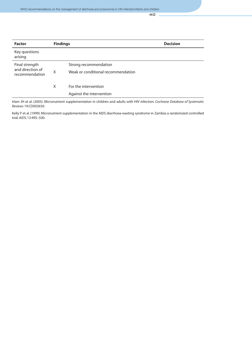WHO recommendations on the management of diarrhoea and pneumonia in HIV-infected infants and children

40

| <b>Factor</b>                      | <b>Findings</b> | <b>Decision</b>                                             |
|------------------------------------|-----------------|-------------------------------------------------------------|
| Key questions<br>arising           |                 |                                                             |
| Final strength<br>and direction of | X               | Strong recommendation<br>Weak or conditional recommendation |
| recommendation                     |                 |                                                             |
|                                    | X               | For the intervention                                        |
|                                    |                 | Against the intervention                                    |

Irlam JH et al. (2005). Micronutrient supplementation in children and adults with HIV infection. *Cochrane Database of Systematic Reviews* 19:CD003650.

Kelly P et al. (1999). Micronutrient supplementation in the AIDS diarrhoea-wasting syndrome in Zambia: a randomized controlled trial. *AIDS*, 13:495–500.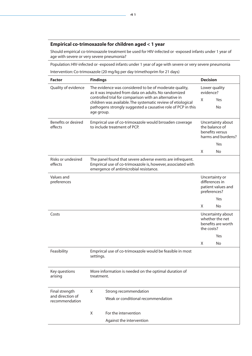### **Empirical co-trimoxazole for children aged < 1 year**

Should empirical co-trimoxazole treatment be used for HIV-infected or -exposed infants under 1 year of age with severe or very severe pneumonia?

Population: HIV-infected or -exposed infants under 1 year of age with severe or very severe pneumonia

Intervention: Co-trimoxazole (20 mg/kg per day trimethoprim for 21 days)

| <b>Factor</b>                                        | <b>Findings</b>                                                                                                                                                                                                                                                                                                        | <b>Decision</b>   |                                                                                                  |
|------------------------------------------------------|------------------------------------------------------------------------------------------------------------------------------------------------------------------------------------------------------------------------------------------------------------------------------------------------------------------------|-------------------|--------------------------------------------------------------------------------------------------|
| Quality of evidence                                  | The evidence was considered to be of moderate quality,<br>as it was imputed from data on adults. No randomized<br>controlled trial for comparison with an alternative in<br>children was available. The systematic review of etiological<br>pathogens strongly suggested a causative role of PCP in this<br>age group. | evidence?<br>X    | Lower quality<br>Yes<br>No                                                                       |
| Benefits or desired<br>effects                       | Emprircal use of co-trimoxazole would brroaden coverage<br>to include treatment of PCP.                                                                                                                                                                                                                                | X                 | Uncertainty about<br>the balance of<br>benefits versus<br>harms and burdens?<br>Yes<br><b>No</b> |
| Risks or undesired<br>effects                        | The panel found that severe adverse events are infrequent.<br>Emprircal use of co-trimoxazole is, however, associated with<br>emergence of antimicrobial resistance.                                                                                                                                                   |                   |                                                                                                  |
| Values and<br>preferences                            |                                                                                                                                                                                                                                                                                                                        | preferences?<br>X | Uncertainty or<br>differences in<br>patient values and<br>Yes<br><b>No</b>                       |
| Costs                                                |                                                                                                                                                                                                                                                                                                                        | the costs?        | Uncertainty about<br>whether the net<br>benefits are worth<br>Yes                                |
|                                                      |                                                                                                                                                                                                                                                                                                                        | X                 | <b>No</b>                                                                                        |
| Feasibility                                          | Emprircal use of co-trimoxazole would be feasible in most<br>settings.                                                                                                                                                                                                                                                 |                   |                                                                                                  |
| Key questions<br>arising                             | More information is needed on the optimal duration of<br>treatment.                                                                                                                                                                                                                                                    |                   |                                                                                                  |
| Final strength<br>and direction of<br>recommendation | X<br>Strong recommendation<br>Weak or conditional recommendation                                                                                                                                                                                                                                                       |                   |                                                                                                  |
|                                                      | X<br>For the intervention<br>Against the intervention                                                                                                                                                                                                                                                                  |                   |                                                                                                  |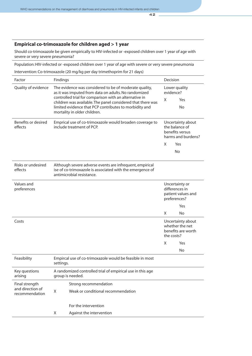### **Empirical co-trimoxazole for children aged > 1 year**

Should co-trimoxazole be given empirically to HIV-infected or -exposed children over 1 year of age with severe or very severe pneumonia?

Population: HIV-infected or -exposed children over 1 year of age with severe or very severe pneumonia

Intervention: Co-trimoxazole (20 mg/kg per day trimethoprim for 21 days)

| Factor                             | Findings                                                                                                                                           | Decision |                                                                              |
|------------------------------------|----------------------------------------------------------------------------------------------------------------------------------------------------|----------|------------------------------------------------------------------------------|
| Quality of evidence                | The evidence was considered to be of moderate quality,<br>as it was imputed from data on adults. No randomized                                     |          | Lower quality<br>evidence?                                                   |
|                                    | controlled trial for comparison with an alternative in<br>children was available. The panel considered that there was                              | X        | Yes                                                                          |
|                                    | limited evidence that PCP contributes to morbidity and<br>mortality in older children.                                                             |          | No                                                                           |
| Benefits or desired<br>effects     | Emprical use of co-trimoxazole would broaden coverage to<br>include treatment of PCP.                                                              |          | Uncertainty about<br>the balance of<br>benefits versus<br>harms and burdens? |
|                                    |                                                                                                                                                    | X        | Yes                                                                          |
|                                    |                                                                                                                                                    |          | No                                                                           |
| Risks or undesired<br>effects      | Although severe adverse events are infrequent, empirical<br>ise of co-trimoxazole is associated with the emergence of<br>antimicrobial resistance. |          |                                                                              |
| Values and<br>preferences          |                                                                                                                                                    |          | Uncertainty or<br>differences in<br>patient values and<br>preferences?       |
|                                    |                                                                                                                                                    |          | Yes                                                                          |
|                                    |                                                                                                                                                    | X        | No                                                                           |
| Costs                              |                                                                                                                                                    |          | Uncertainty about<br>whether the net<br>benefits are worth<br>the costs?     |
|                                    |                                                                                                                                                    | X        | Yes                                                                          |
|                                    |                                                                                                                                                    |          | No                                                                           |
| Feasibility                        | Empircal use of co-trimoxazole would be feasible in most<br>settings.                                                                              |          |                                                                              |
| Key questions<br>arising           | A randomized controlled trial of empirical use in this age<br>group is needed.                                                                     |          |                                                                              |
| Final strength                     | Strong recommendation                                                                                                                              |          |                                                                              |
| and direction of<br>recommendation | Weak or conditional recommendation<br>Χ                                                                                                            |          |                                                                              |
|                                    | For the intervention                                                                                                                               |          |                                                                              |
|                                    | X<br>Against the intervention                                                                                                                      |          |                                                                              |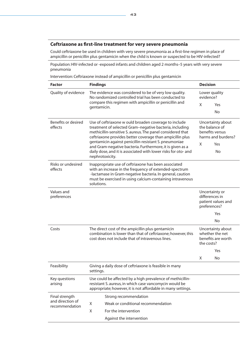### **Ceftriaxone as first-line treatment for very severe pneumonia**

Could ceftriaxone be used in children with very severe pneumonia as a first-line regimen in place of ampicillin or penicillin plus gentamicin when the child is known or suspected to be HIV-infected?

Population: HIV-infected or -exposed infants and children aged 2 months–5 years with very severe pneumonia

Intervention: Ceftriaxone instead of ampicillin or penicillin plus gentamicin

| <b>Factor</b>                      | <b>Findings</b>                                                                                                                                                                                                                                                                                                                                                                                                                                        | <b>Decision</b>                                                                                |
|------------------------------------|--------------------------------------------------------------------------------------------------------------------------------------------------------------------------------------------------------------------------------------------------------------------------------------------------------------------------------------------------------------------------------------------------------------------------------------------------------|------------------------------------------------------------------------------------------------|
| Quality of evidence                | The evidence was considered to be of very low quality.<br>No randomized controlled trial has been conducted to<br>compare this regimen with ampicillin or penicillin and<br>gentamicin.                                                                                                                                                                                                                                                                | Lower quality<br>evidence?<br>X<br>Yes<br>No                                                   |
| Benefits or desired<br>effects     | Use of ceftriaxone w ould broaden coverage to include<br>treatment of selected Gram-negative bacteria, including<br>methicillin-sensitive S. aureus. The panel considered that<br>ceftriaxone provides better coverage than ampicillin plus<br>gentamicin against penicillin-resistant S. pneumoniae<br>and Gram-negative bacteria. Furthermore, it is given as a<br>daily dose, and it is associated with lower risks for oto- and<br>nephrotoxicity. | Uncertainty about<br>the balance of<br>benefits versus<br>harms and burdens?<br>X<br>Yes<br>No |
| Risks or undesired<br>effects      | Inappropriate use of ceftriaxone has been associated<br>with an increase in the frequency of extended-spectrum<br>-lactamase in Gram-negative bacteria. In general, caution<br>must be exercised in using calcium-containing intravenous<br>solutions.                                                                                                                                                                                                 |                                                                                                |
| Values and<br>preferences          |                                                                                                                                                                                                                                                                                                                                                                                                                                                        | Uncertainty or<br>differences in<br>patient values and<br>preferences?                         |
|                                    |                                                                                                                                                                                                                                                                                                                                                                                                                                                        | Yes                                                                                            |
|                                    |                                                                                                                                                                                                                                                                                                                                                                                                                                                        | <b>No</b>                                                                                      |
| Costs                              | The direct cost of the ampicillin plus gentamicin<br>combination is lower than that of ceftriaxone; however, this<br>cost does not include that of intravenous lines.                                                                                                                                                                                                                                                                                  | Uncertainty about<br>whether the net<br>benefits are worth<br>the costs?                       |
|                                    |                                                                                                                                                                                                                                                                                                                                                                                                                                                        | Yes                                                                                            |
|                                    |                                                                                                                                                                                                                                                                                                                                                                                                                                                        | X<br>No                                                                                        |
| Feasibility                        | Giving a daily dose of ceftriaxone is feasible in many<br>settings.                                                                                                                                                                                                                                                                                                                                                                                    |                                                                                                |
| Key questions<br>arising           | Use could be affected by a high prevalence of methicillin-<br>resistant S. aureus, in which case vancomycin would be<br>appropriate; however, it is not affordable in many settings.                                                                                                                                                                                                                                                                   |                                                                                                |
| Final strength                     | Strong recommendation                                                                                                                                                                                                                                                                                                                                                                                                                                  |                                                                                                |
| and direction of<br>recommendation | X<br>Weak or conditional recommendation                                                                                                                                                                                                                                                                                                                                                                                                                |                                                                                                |
|                                    | X<br>For the intervention                                                                                                                                                                                                                                                                                                                                                                                                                              |                                                                                                |
|                                    | Against the intervention                                                                                                                                                                                                                                                                                                                                                                                                                               |                                                                                                |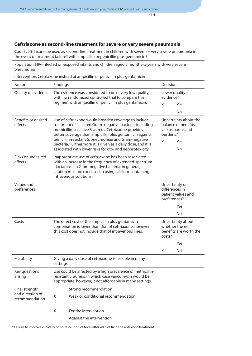### **Ceftriaxone as second-line treatment for severe or very severe pneumonia**

Could ceftriaxone be used as second-line treatment in children with severe or very severe pneumonia in the event of treatment failure\* with ampicillin or penicillin plus gentamicin?

| Population: HIV-infected or -exposed infants and children aged 2 months-5 years with very severe |  |
|--------------------------------------------------------------------------------------------------|--|
| pneumonia                                                                                        |  |

Intervention: Ceftriaxone instead of ampicillin or penicillin plus gentamicin

| Factor                             | Findings                                                                                                                                                                                                                                                                                                                                                                                                                 | Decision                                                                                       |
|------------------------------------|--------------------------------------------------------------------------------------------------------------------------------------------------------------------------------------------------------------------------------------------------------------------------------------------------------------------------------------------------------------------------------------------------------------------------|------------------------------------------------------------------------------------------------|
| Quality of evidence                | The evidence was considered to be of very low quality,<br>with no randomized controlled trial to compare this                                                                                                                                                                                                                                                                                                            | Lower quality<br>evidence?                                                                     |
|                                    | regimen with ampicillin or penicillin plus gentamicin.                                                                                                                                                                                                                                                                                                                                                                   | X<br>Yes                                                                                       |
|                                    |                                                                                                                                                                                                                                                                                                                                                                                                                          | <b>No</b>                                                                                      |
| Benefits or desired<br>effects     | Use of ceftriaxone would broaden coverage to include<br>treatment of selected Gram-negative bacteria, including<br>methicillin-sensitive S. aureus. Ceftriaxone provides<br>better coverage than ampicillin plus gentamicin against<br>penicillin-resistant S. pneumoniae and Gram-negative<br>bacteria. Furthermore, it is given as a daily dose, and it is<br>associated with lower risks for oto- and nephrotoxicity. | Uncertainty about the<br>balance of benefits<br>versus harms and<br>burdens?<br>X<br>Yes<br>No |
| Risks or undesired<br>effects      | Inappropriate use of ceftriaxone has been associated<br>with an increase in the frequency of extended-spectrum<br>-lactamase in Gram-negative bacteria. In general,<br>caution must be exercised in using calcium-containing<br>intravenous solutions.                                                                                                                                                                   |                                                                                                |
| Values and<br>preferences          |                                                                                                                                                                                                                                                                                                                                                                                                                          | Uncertainty or<br>differences in<br>patient values and<br>preferences?                         |
|                                    |                                                                                                                                                                                                                                                                                                                                                                                                                          | Yes                                                                                            |
|                                    |                                                                                                                                                                                                                                                                                                                                                                                                                          | <b>No</b>                                                                                      |
| Costs                              | The direct cost of the ampicillin plus gentamicin<br>combination is lower than that of ceftriaxone; however,<br>this cost does not include that of intravenous lines.                                                                                                                                                                                                                                                    | Uncertainty about<br>whether the net<br>benefits are worth the<br>costs?                       |
|                                    |                                                                                                                                                                                                                                                                                                                                                                                                                          | Yes                                                                                            |
|                                    |                                                                                                                                                                                                                                                                                                                                                                                                                          | X<br><b>No</b>                                                                                 |
| Feasibility                        | Giving a daily dose of ceftriaxone is feasible in many<br>settings.                                                                                                                                                                                                                                                                                                                                                      |                                                                                                |
| Key questions<br>arising           | Use could be affected by a high prevalence of methicillin-<br>resistant S. aureus, in which case vancomycin would be<br>appropriate; however, it not affordable in many settings.                                                                                                                                                                                                                                        |                                                                                                |
| Final strength                     | Strong recommendation                                                                                                                                                                                                                                                                                                                                                                                                    |                                                                                                |
| and direction of<br>recommendation | Weak or conditional recommendation<br>X                                                                                                                                                                                                                                                                                                                                                                                  |                                                                                                |
|                                    | X<br>For the intervention                                                                                                                                                                                                                                                                                                                                                                                                |                                                                                                |
|                                    | Against the intervention                                                                                                                                                                                                                                                                                                                                                                                                 |                                                                                                |

\* Failure to improve clinically or no resolution of fever after 48 h of first-line antibiotic treatment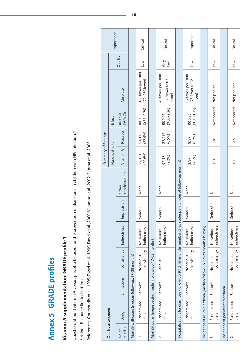| C           |
|-------------|
| ï<br>Ľ<br>ĺ |
| I           |
|             |
|             |
|             |
| d           |
| n<br>U      |
|             |
| Ľ           |
| Ì<br>ì      |
|             |
| i           |
| ŗ           |

# **Vitamin A supplementation: GRADE profile 1**  Vitamin A supplementation: GRADE profile 1

Question: Should vitamin A versus placebo be used for the prevention of diarrhoea in children with HIV infection?<sup>a</sup> Question: Should vitamin A versus placebo be used for the prevention of diarrhoea in children with HIV infection?a

Settings: Resource limited settings Settings: Resource limited settings

References: Coutsoudis et al., 1995; Fawzi et al., 1999; Fawzi et al., 2000; Villamor et al., 2002; Semba et al., 2005 References: Coutsoudis et al., 1995; Fawzi et al., 1999; Fawzi et al., 2000; Villamor et al., 2002; Semba et al., 2005

|            |                                   |                                                                                                                |                                         |                      |                         | Summary of findings  |                     |                            |                                               |                       |            |
|------------|-----------------------------------|----------------------------------------------------------------------------------------------------------------|-----------------------------------------|----------------------|-------------------------|----------------------|---------------------|----------------------------|-----------------------------------------------|-----------------------|------------|
|            |                                   |                                                                                                                |                                         |                      |                         | No. of patients      |                     | Effect                     |                                               |                       | Importance |
|            | Limitations                       | Inconsistency                                                                                                  | Indirectness                            | Imprecision          | considerations<br>Other | Vitamin A            | Placebo             | $(95%$ CI)<br>Relative     | Absolute                                      | Quality               |            |
|            |                                   | Mortality, all-cause (median follow-up, 17-28 months)                                                          |                                         |                      |                         |                      |                     |                            |                                               |                       |            |
| Randomized | Serious <sup>b</sup>              | inconsistency<br>No serious                                                                                    | indirectness<br>No serious              | Serious <sup>c</sup> | None                    | $(20.6\%)$<br>27/131 | (37.5%)<br>51/136   | $(0.31 - 0.79)$<br>RR 0.5  | 188 fewer per 1000<br>(79-259 fewer)          | $\overline{10}$       | Critical   |
|            |                                   | Mortality, diarrhoea-specific (median follow-up, 17-28 months)                                                 |                                         |                      |                         |                      |                     |                            |                                               |                       |            |
| Randomized | Serious <sup>b</sup>              | Serious <sup>d</sup>                                                                                           | indirectness <sup>e</sup><br>No serious | Serious              | None                    | 9/413<br>(2.2%)      | 27/416<br>$(6.5\%)$ | $(0.03 - 2.26)$<br>RR 0.26 | 48 fewer per 1000<br>(63 fewer to 82<br>more) | Very<br>$\frac{1}{2}$ | Critical   |
|            |                                   | Hospitalizations for diarrhoea (follow-up, 97 child-months; number of episodes per number of follow-up months) |                                         |                      |                         |                      |                     |                            |                                               |                       |            |
| Randomized | Serious <sup>b</sup>              | inconsistency<br>No serious                                                                                    | indirectness<br>No serious              | Serious <sup>c</sup> | None                    | 2/97<br>(2.1%)       | (8.2%)<br>8/97      | $(0.05 - 1.15)$<br>RR 0.25 | 62 fewer per 1000<br>(78 fewer to 12<br>more) | $\sum_{i=1}^{n}$      | Important  |
|            |                                   | Incidence of acute diarrhoea (median follow-up, 17-28 months; history)                                         |                                         |                      |                         |                      |                     |                            |                                               |                       |            |
| Randomized | <b>Serious</b> <sup>b</sup>       | inconsistency<br>No serious                                                                                    | indirectness<br>No serious              | Serious <sup>c</sup> | None                    | 131                  | 136                 | Not pooled                 | Not pooled <sup>"</sup>                       | Low                   | Critical   |
|            | Incidence of persistent diarrhoea |                                                                                                                |                                         |                      |                         |                      |                     |                            |                                               |                       |            |
| Randomized | Serious <sup>c</sup>              | inconsistency<br>No serious                                                                                    | indirectness<br>No serious              | Serious              | None                    | 100                  | 109                 | Not pooled                 | Not pooled <sup>9</sup>                       | Low                   | Critical   |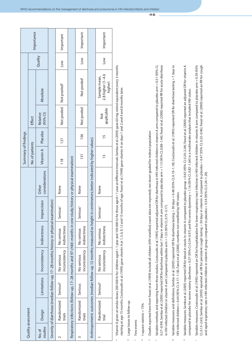|                     | Importance         |                         |                                                                            | Important                   |                                                                                                                    | Important                   |                                                                                                                             | Important                                    |
|---------------------|--------------------|-------------------------|----------------------------------------------------------------------------|-----------------------------|--------------------------------------------------------------------------------------------------------------------|-----------------------------|-----------------------------------------------------------------------------------------------------------------------------|----------------------------------------------|
|                     |                    | Quality                 |                                                                            | $\overline{100}$            |                                                                                                                    | Low                         |                                                                                                                             | Low                                          |
|                     |                    | Absolute                |                                                                            | Not pooled <sup>h</sup>     |                                                                                                                    | Not pooled                  |                                                                                                                             | 2.8 higher (1-4.6<br>Sample mean,<br>higher) |
|                     | Effect             | $(95%$ Cl)<br>Relative  |                                                                            | Not pooled                  |                                                                                                                    | Not pooled                  |                                                                                                                             | applicable<br>Not                            |
|                     |                    | Placebo                 |                                                                            | 121                         |                                                                                                                    | 136                         |                                                                                                                             | $\frac{5}{1}$                                |
| Summary of findings | No. of patients    | Vitamin A               |                                                                            | $\frac{8}{10}$              |                                                                                                                    | 131                         |                                                                                                                             | $\frac{3}{2}$                                |
|                     |                    | considerations<br>Other |                                                                            | None                        | Respiratory infections (follow-up, 17–28 months and 97 child-months in one study; history or physical examination) | None                        | Anthropometric outcomes (median follow-up, 12 months; measured as height in centimeters; better indicated by higher values) | None                                         |
|                     |                    | Imprecision             | examination)                                                               | Serious <sup>c</sup>        |                                                                                                                    | <b>Serious<sup>c</sup></b>  |                                                                                                                             | <b>Serious<sup>c</sup></b>                   |
|                     |                    | Indirectness            |                                                                            | indirectness<br>No serious  |                                                                                                                    | indirectness<br>No serious  |                                                                                                                             | indirectness<br>No serious                   |
|                     |                    | Inconsistency           | Severity of diarrhoea (median follow-up, 17-28 months; history or physical | inconsistency<br>No serious |                                                                                                                    | inconsistency<br>No serious |                                                                                                                             | inconsistency<br>No serious                  |
|                     |                    | Limitations             |                                                                            | Seriousb                    |                                                                                                                    | Serious                     |                                                                                                                             | Seriousb                                     |
|                     |                    | Design                  |                                                                            | Randomized<br>trials        |                                                                                                                    | Randomized<br>trials        |                                                                                                                             | Randomized<br>trial                          |
|                     | Quality assessment | studies<br>No.of        |                                                                            |                             |                                                                                                                    |                             |                                                                                                                             |                                              |

Vitamin A given at similar doses: 200 000 IU for children aged > 1 year and 100 000 IU for those aged < 1 year at different intervals. Semba et al. (2005) gave 60 mg retinol equivalent every 3 months Vitamin A given at similar doses: 200 000 IU for children aged > 1 year and 100 000 IU for those aged < 1 year at different intervals. Semba et al. (2005) gave 60 mg retinol equivalent every 3 months starting at age 15 months. Coutsoudis et al. (1995) gave vitamin A at 1, 3, 6, 9, 12 and 15 months of age. Fawzi et al. (1999) gave vitamin A on days 1 and 2 and 4 and 8 months later. starting at age 15 months. Coutsoudis et al. (1995) gave vitamin A at 1, 3, 6, 9, 12 and 15 months of age. Fawzi et al. (1999) gave vitamin A on days 1 and 2 and 4 and 8 months later

Large losses to follow-up Large losses to follow-up

s

Few events Few events

c

 $I-$ square statistic = 75% l-square statistic = 75%

₹

 $\overline{}$ 

- Deaths reported here from Fawzi et al. (1999) include all children (HIV-stratified, count data not reported); not down-graded for indirect population Deaths reported here from Fawzi et al. (1999) include all children (HIV-stratified, count data not reported); not down-graded for indirect population
- Variable methods and reporting from three studies. Coutsoudis et al. (1995) reported adjusted OR for diarrhoea in HIV-infected children in vitamin A arm compared to placebo arm = 0.51 (95% CI, Variable methods and reporting from three studies. Coutsoudis et al. (1995) reported adjusted OR for diarrhoea in HIV-infected children in vitamin A arm compared to placebo arm = 0.51 (95% CI, 0.27-0.99). Semba et al. (2005) reported OR for diarrhoea within last 7 days in vitamin A arm compared to placebo arm = 1.13 (95% Cl, 0.88–1.46). Fawzi et al. (2000) reported RR for acute diarrhoea 0.27–0.99). Semba et al. (2005) reported OR for diarrhoea within last 7 days in vitamin A arm compared to placebo arm = 1.13 (95% CI, 0.88–1.46). Fawzi et al. (2000) reported RR for acute diarrhoea in HIV-infected children in vitamin A arm compared to placebo arm = 1.55 (95% CI, 0.75-3.17). in HIV-infected children in vitamin A arm compared to placebo arm = 1.55 (95% CI, 0.75–3.17).
- Variable measures and definitions. Semba et al. (2005) reported OR for diarrhoea lasting > 30 days = 0.48 (95% Cl, 0.19–1.18). Coutsoudis et al. (1995) reported OR for diarrhoea lasting > 7 days in Variable measures and definitions. Semba et al. (2005) reported OR for diarrhoea lasting > 30 days = 0.48 (95% CI, 0.19–1.18). Coutsoudis et al. (1995) reported OR for diarrhoea lasting > 7 days in HIV-infected children = 0.44 (95% Cl, 0.17-1.18). Fawzi et al. (2000), numbers not stratified by HIV status. HIV-infected children = 0.44 (95% CI, 0.17–1.18). Fawzi et al. (2000), numbers not stratified by HIV status. g
- Variable measures.Semba et al. (2005) reported OR for blood in stools in vitamin A compared to placebo group = 0.65 (95% Cl, 0.20–2.04).Fawzi et al. (2000) reported an adjusted OR for vitamin A Variable measures. Semba et al. (2005) reported OR for blood in stools in vitamin A compared to placebo group = 0.65 (95% CI, 0.20–2.04). Fawzi et al. (2000) reported an adjusted OR for vitamin A compared to placebo for severe watery diarrhoea = 0.57 (95% CI, 0.34–0.97) and for severe dysentery = 1.16 (95% CI, 0.82–1.64) in a multivariate analysis that included HIV status. compared to placebo for severe watery diarrhoea = 0.57 (95% CI, 0.34–0.97) and for severe dysentery = 1.16 (95% CI, 0.82–1.64) in a multivariate analysis that included HIV status. h
- Variable measures. Coutsoudis et al. (1995) reported an OR for hospitalization for lower respiratory tract infection in HIV-infected children in vitamin A arm compared to placebo arm = 0.59% Variable measures. Coutsoudis et al. (1995) reported an OR for hospitalization for lower respiratory tract infection in HIV-infected children in vitamin A arm compared to placebo arm = 0.59 (95% CI, 0.13–2.65). Semba et al. (2005) reported an OR for persistent cough lasting > 30 days in vitamin A compared to placebo = 0.47 (95% CI, 0.23–0.96). Fawzi et al. (2000) reported an RR for cough CJ,0.13–2.65). Semba et al. (2005) reported an OR for persistent cough lasting > 30 days in vitamin A compared to placebo = 0.47 (95% Cl, 0.23–0.96). Fawzi et al. (2000) reported an RR for cough and rapid respiratory rate in HIV-infected children in vitamin A group compared to placebo = 0.54 (95% CI, 0.24-1.20). and rapid respiratory rate in HIV-infected children in vitamin A group compared to placebo = 0.54 (95% CI, 0.24–1.20).

 $\overline{\phantom{a}}$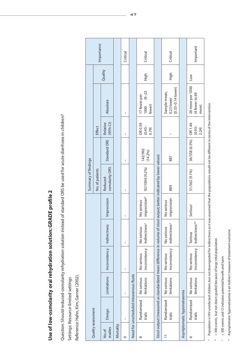Use of low-osmolarity oral rehydration solution: GRADE profile 2 **Use of low-osmolarity oral rehydration solution: GRADE profile 2**

Question: Should reduced-osmolarity rehydration solution instead of standard ORS be used for acute diarrhoea in children? Question: Should reduced-osmolarity rehydration solution instead of standard ORS be used for acute diarrhoea in children?

Settings: Resource-limited settings Settings: Resource-limited settings

Reference: Hahn, Kim, Garner (2002). Reference: Hahn, Kim, Garner (2002).

|                  |                                         |                           |                             |                                         |                                        | Summary of findings                                                                                                 |                       |                                                                                                                                                                                                                                                                                                                                                                                  |                                                       |         |            |
|------------------|-----------------------------------------|---------------------------|-----------------------------|-----------------------------------------|----------------------------------------|---------------------------------------------------------------------------------------------------------------------|-----------------------|----------------------------------------------------------------------------------------------------------------------------------------------------------------------------------------------------------------------------------------------------------------------------------------------------------------------------------------------------------------------------------|-------------------------------------------------------|---------|------------|
|                  | Quality assessment                      |                           |                             |                                         |                                        | No. of patients                                                                                                     |                       | Effect                                                                                                                                                                                                                                                                                                                                                                           |                                                       |         |            |
|                  |                                         |                           |                             |                                         |                                        |                                                                                                                     |                       |                                                                                                                                                                                                                                                                                                                                                                                  |                                                       |         | Importance |
| studies<br>No.of | Design                                  | Limitations               | Inconsistency               | Indirectness                            | Imprecision                            | osmolarity ORS<br>Reduced-                                                                                          | Standard ORS          | $(95%$ Cl)<br>Relative                                                                                                                                                                                                                                                                                                                                                           | Absolute                                              | Quality |            |
| Mortality        |                                         |                           |                             |                                         |                                        |                                                                                                                     |                       |                                                                                                                                                                                                                                                                                                                                                                                  |                                                       |         |            |
| $\circ$          | $\sf I$                                 | $\sf I$                   | $\sf I$                     | I                                       | $\sf I$                                | $\sf I$                                                                                                             | $\sf I$               | $\sf I$                                                                                                                                                                                                                                                                                                                                                                          | $\sf I$                                               |         | Critical   |
|                  | Need for unscheduled intravenous fluids |                           |                             |                                         |                                        |                                                                                                                     |                       |                                                                                                                                                                                                                                                                                                                                                                                  |                                                       |         |            |
| $^{\circ}$       | Randomized<br>trials                    | limitations<br>No serious | inconsistency<br>No serious | indirectness <sup>a</sup><br>No serious | imprecision <sup>b</sup><br>No serious | 92/1004 (9.2%)                                                                                                      | 142/992<br>$(14.2\%)$ | OR 0.59<br>$(0.45 -$<br>(62.7)                                                                                                                                                                                                                                                                                                                                                   | $(9 - 23)$<br>17 fewer per<br>1000<br>fewer)          | High    | Critical   |
|                  |                                         |                           |                             |                                         |                                        | Stool output (measured as standardized mean difference in volume of stool output; better indicated by lower values) |                       |                                                                                                                                                                                                                                                                                                                                                                                  |                                                       |         |            |
| $\Xi$            | Randomized<br>trials                    | limitations<br>No serious | inconsistency<br>No serious | indirectness <sup>a</sup><br>No serious | imprecision<br>No serious              | 889                                                                                                                 | 887                   | $\begin{array}{c} \rule{0pt}{2.5ex} \rule{0pt}{2.5ex} \rule{0pt}{2.5ex} \rule{0pt}{2.5ex} \rule{0pt}{2.5ex} \rule{0pt}{2.5ex} \rule{0pt}{2.5ex} \rule{0pt}{2.5ex} \rule{0pt}{2.5ex} \rule{0pt}{2.5ex} \rule{0pt}{2.5ex} \rule{0pt}{2.5ex} \rule{0pt}{2.5ex} \rule{0pt}{2.5ex} \rule{0pt}{2.5ex} \rule{0pt}{2.5ex} \rule{0pt}{2.5ex} \rule{0pt}{2.5ex} \rule{0pt}{2.5ex} \rule{0$ | $(0.33 - 0.14$ lower)<br>Sample mean,<br>$0.23$ lower | High    | Critical   |
|                  | Asymptomatic hyponatraemia              |                           |                             |                                         |                                        |                                                                                                                     |                       |                                                                                                                                                                                                                                                                                                                                                                                  |                                                       |         |            |
| $\circ$          | Randomized<br>trials                    | limitations<br>No serious | inconsistency<br>No serious | indirectness <sup>a,d</sup><br>Serious  | Serious <sup>c</sup>                   | 51/562 (9.1%)                                                                                                       | 36/558 (6.5%)         | OR 1.44<br>$(0.93 -$<br>2.24                                                                                                                                                                                                                                                                                                                                                     | 26 more per 1000<br>(4 fewer to 69<br>more)           | Low     | Important  |
|                  |                                         |                           |                             |                                         |                                        |                                                                                                                     |                       |                                                                                                                                                                                                                                                                                                                                                                                  |                                                       |         |            |

a Population is HIV-uninfected children, but not downgraded for indirectness as it was assumed that the populations would not be different in terms of the intervention Population is HIV-uninfected children, but not downgraded for indirectness as it was assumed that the populations would not be different in terms of the intervention

< 300 events, but not down-graded because of large total population  $\approx$   $\approx$  300 events, but not down-graded because of large total population b

< 300 events and CI indicates potential benefit and harm  $\epsilon \sim 300$  events and CI indicates potential benefit and harm c

Asymptomatic hyponatraemia is an indirect measure of treatment outcome. <sup>d</sup> Asymptomatic hyponatraemia is an indirect measure of treatment outcome.  $\overline{a}$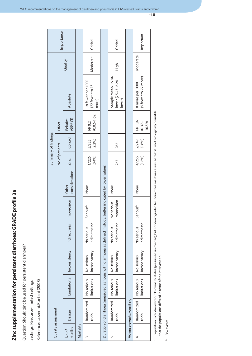Zinc supplementation for persistent diarrhoea: GRADE profile 3a **Zinc supplementation for persistent diarrhoea: GRADE profile 3a**

Question: Should zinc be used for persistent diarrhoea? Question: Should zinc be used for persistent diarrhoea?

Settings: Resource-limited settings Settings: Resource-limited settings

Reference: Lazzerini, Ronfani (2008) Reference: Lazzerini, Ronfani (2008)

| Importance<br>Important<br>Critical<br>Critical<br>Moderate<br>Moderate<br>Quality<br>High<br>Sample mean, 15.84<br>(5 fewer to 77 more)<br>18 fewer per 1000<br>lower (25.43-6.24<br>8 more per 1000<br>(22 fewer to 15<br>Absolute<br>lower)<br>more)<br>$(0.02 - 1.69)$<br>$(95%$ Cl)<br>Relative<br>RR 1.97<br>$(0.37 -$<br>RR 0.2<br>10.59<br>Effect<br>$\begin{array}{c} \rule{0pt}{2.5ex} \rule{0pt}{2.5ex} \rule{0pt}{2.5ex} \rule{0pt}{2.5ex} \rule{0pt}{2.5ex} \rule{0pt}{2.5ex} \rule{0pt}{2.5ex} \rule{0pt}{2.5ex} \rule{0pt}{2.5ex} \rule{0pt}{2.5ex} \rule{0pt}{2.5ex} \rule{0pt}{2.5ex} \rule{0pt}{2.5ex} \rule{0pt}{2.5ex} \rule{0pt}{2.5ex} \rule{0pt}{2.5ex} \rule{0pt}{2.5ex} \rule{0pt}{2.5ex} \rule{0pt}{2.5ex} \rule{0$<br>Summary of findings<br>Control<br>(2.2%)<br>(0.8%)<br>2/249<br>5/225<br>No. of patients<br>262<br>(0.4%)<br>(1.6%)<br>1/226<br>4/256<br>Zinc<br>267<br>Duration of diarrhoea (measured as hours with diarrhoea as defined in study; better indicated by lower values)<br>considerations<br>Other<br>None<br>None<br>None<br>Imprecision<br>imprecision<br>No serious<br>Serious <sup>b</sup><br>Seriousb<br>indirectness <sup>a</sup><br>indirectness <sup>a</sup><br>indirectness <sup>a</sup><br>Indirectness<br>No serious<br>No serious<br>No serious<br>Inconsistency<br>inconsistency<br>inconsistency<br>inconsistency<br>No serious<br>No serious<br>No serious<br>Limitations |                          |                           |  |  |  |  |  |
|-----------------------------------------------------------------------------------------------------------------------------------------------------------------------------------------------------------------------------------------------------------------------------------------------------------------------------------------------------------------------------------------------------------------------------------------------------------------------------------------------------------------------------------------------------------------------------------------------------------------------------------------------------------------------------------------------------------------------------------------------------------------------------------------------------------------------------------------------------------------------------------------------------------------------------------------------------------------------------------------------------------------------------------------------------------------------------------------------------------------------------------------------------------------------------------------------------------------------------------------------------------------------------------------------------------------------------------------------------------------------------------------------------------------------------------------|--------------------------|---------------------------|--|--|--|--|--|
|                                                                                                                                                                                                                                                                                                                                                                                                                                                                                                                                                                                                                                                                                                                                                                                                                                                                                                                                                                                                                                                                                                                                                                                                                                                                                                                                                                                                                                         |                          |                           |  |  |  |  |  |
|                                                                                                                                                                                                                                                                                                                                                                                                                                                                                                                                                                                                                                                                                                                                                                                                                                                                                                                                                                                                                                                                                                                                                                                                                                                                                                                                                                                                                                         | Quality assessment       |                           |  |  |  |  |  |
|                                                                                                                                                                                                                                                                                                                                                                                                                                                                                                                                                                                                                                                                                                                                                                                                                                                                                                                                                                                                                                                                                                                                                                                                                                                                                                                                                                                                                                         | Design                   |                           |  |  |  |  |  |
|                                                                                                                                                                                                                                                                                                                                                                                                                                                                                                                                                                                                                                                                                                                                                                                                                                                                                                                                                                                                                                                                                                                                                                                                                                                                                                                                                                                                                                         |                          |                           |  |  |  |  |  |
|                                                                                                                                                                                                                                                                                                                                                                                                                                                                                                                                                                                                                                                                                                                                                                                                                                                                                                                                                                                                                                                                                                                                                                                                                                                                                                                                                                                                                                         | Randomized               | No serious<br>limitations |  |  |  |  |  |
|                                                                                                                                                                                                                                                                                                                                                                                                                                                                                                                                                                                                                                                                                                                                                                                                                                                                                                                                                                                                                                                                                                                                                                                                                                                                                                                                                                                                                                         |                          |                           |  |  |  |  |  |
|                                                                                                                                                                                                                                                                                                                                                                                                                                                                                                                                                                                                                                                                                                                                                                                                                                                                                                                                                                                                                                                                                                                                                                                                                                                                                                                                                                                                                                         | Randomized               | No serious<br>limitations |  |  |  |  |  |
|                                                                                                                                                                                                                                                                                                                                                                                                                                                                                                                                                                                                                                                                                                                                                                                                                                                                                                                                                                                                                                                                                                                                                                                                                                                                                                                                                                                                                                         | Adverse events: vomiting |                           |  |  |  |  |  |
|                                                                                                                                                                                                                                                                                                                                                                                                                                                                                                                                                                                                                                                                                                                                                                                                                                                                                                                                                                                                                                                                                                                                                                                                                                                                                                                                                                                                                                         | Randomized               | No serious<br>limitations |  |  |  |  |  |

Population is children without known HIV status (presumed uninfected), but not downgraded for indirectness as it was assumed that it is not biologically plausible Population is children without known HIV status (presumed uninfected), but not downgraded for indirectness as it was assumed that it is not biologically plausible that the populations differed in terms of the intervention. that the populations differed in terms of the intervention.

Few events **b** Few events b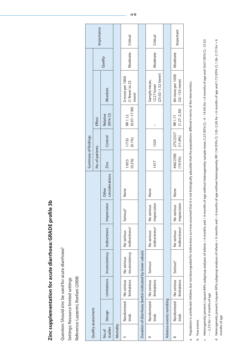Zinc supplementation for acute diarrhoea: GRADE profile 3b **Zinc supplementation for acute diarrhoea: GRADE profile 3b**

Question: Should zinc be used for acute diarrhoea? Question: Should zinc be used for acute diarrhoea?

Settings: Resource limited settings Settings: Resource limited settings Reference: Lazzerini, Ronfani (2008) Reference: Lazzerini, Ronfani (2008)

|                     | Importance         |                                            |           | Critical                                   |                                                          | Critical                                              |                          | Important                               |
|---------------------|--------------------|--------------------------------------------|-----------|--------------------------------------------|----------------------------------------------------------|-------------------------------------------------------|--------------------------|-----------------------------------------|
|                     |                    | Quality                                    |           | Moderate                                   |                                                          | Moderate                                              |                          | Moderate                                |
|                     |                    | Absolute                                   |           | 0 more per 1000<br>(1 fewer to 23<br>more) |                                                          | $(23.02 - 1.52$ lower)<br>Sample mean,<br>12.27 lower |                          | 84 more per 1000<br>$(32-153$ more)     |
|                     | Effect             | $(95%$ Cl)<br>Relative                     |           | $(0.07 - 17.90)$<br>RR 1.12                |                                                          | $\overline{\phantom{a}}$                              |                          | $(1.27 - 2.30)$<br>RR 1.71              |
|                     |                    | Control                                    |           | (0.1%)<br>1/735                            |                                                          | 1324                                                  |                          | 275/2337<br>(11.8%                      |
| Summary of findings | No. of patients    | Zinc                                       |           | (0.2%)<br>1/655                            |                                                          | 1417                                                  |                          | 466/2390<br>$(19.5\%)$                  |
|                     |                    | considerations<br>Other                    |           | None                                       |                                                          | None                                                  |                          | None                                    |
|                     |                    | Imprecision                                |           | Seriousb                                   |                                                          | imprecision<br>serious<br>$\frac{1}{2}$               |                          | imprecision<br>serious<br>$\frac{1}{2}$ |
|                     |                    |                                            |           | indirectness <sup>ª</sup><br>No serious    |                                                          | indirectness <sup>a</sup><br>No serious               |                          | indirectness <sup>a</sup><br>No serious |
|                     |                    | Limitations   Inconsistency   Indirectness |           | inconsistency<br>No serious                |                                                          | Serious <sup>c</sup>                                  |                          | Serious <sup>d</sup>                    |
|                     |                    |                                            |           | limitations<br>No serious                  |                                                          | No serious<br>limitations                             |                          | No serious<br>limitations               |
|                     | Quality assessment | Design                                     |           | Randomized<br>trials                       | Duration of diarrhoea (better indicated by lower values) | Randomized<br>trials                                  | Adverse events: vomiting | Randomized<br>trials                    |
|                     |                    | studies<br>No.of                           | Mortality | ω                                          |                                                          | Ō                                                     |                          | $\infty$                                |

a Population is uninfected children, but not downgraded for indirectness as it was assumed that it is not biologically plausible that the populations differed in terms of the intervention. a Population is uninfected children, but not downgraded for indirectness as it was assumed that it is not biologically plausible that the populations differed in terms of the intervention.

b Few events b Few events

Heterogeneity present; I-square 84%; subgroup analyses of infants < 6 months and > 6 months of age without heterogeneity:sample mean, 5.23 (95% CI,-4 - 14.45) for < 6 months of age and 16.67 (95% CI, -31.03 c Heterogeneity present; I-square 84%; subgroup analyses of infants < 6 months and > 6 months of age without heterogeneity: sample mean, 5.23 (95% CI, –4 – 14.45) for < 6 months of age and 16.67 (95% CI, –31.03  $-$  - 2.31) for > 6 months of age  $-$  – 2.31) for  $> 6$  months of age  $\cup$ 

d Heterogeneity present; I-square 69%; subgroup analyses of infants < 6 months and > 6 months of age without heterogeneity: RR 1.54 (95% Cl, 1.02-2.24) for < 6 months of age and 1.72 (95% Cl, 1.36-2.17) for > 6 d Heterogeneity present; I-square 69%; subgroup analyses of infants < 6 months and > 6 months of age without heterogeneity: RR 1.54 (95% CI, 1.02–2.24) for < 6 months of age and 1.72 (95% CI, 1.36–2.17) for > 6 months of age months of age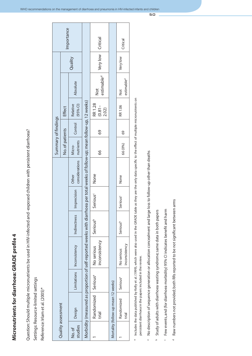Micronutrients for diarrhoea: GRADE profile 4 **Micronutrients for diarrhoea: GRADE profile 4** Question: Should multiple micronutrients be used in HIV-infected and -exposed children with persistent diarrhoea? Question: Should multiple micronutrients be used in HIV-infected and -exposed children with persistent diarrhoea? Settings: Resource-limited settings

Settings: Resource-limited settings Reference: Irlam et al. (2005)\* Reference: Irlam et al. (2005)\*

|                  |                                          |                      |                                                                                                                                 |                     |                            |                                     | Summary of findings |                |                                    |                               |                     |            |
|------------------|------------------------------------------|----------------------|---------------------------------------------------------------------------------------------------------------------------------|---------------------|----------------------------|-------------------------------------|---------------------|----------------|------------------------------------|-------------------------------|---------------------|------------|
|                  | Quality assessment                       |                      |                                                                                                                                 |                     |                            |                                     | No. of patients     |                | Effect                             |                               |                     | Importance |
| studies<br>No.of | Design                                   |                      | Limitations   Inconsistency                                                                                                     | <b>Indirectness</b> | Imprecision                | considerations   nutrients<br>Other | Micro-              | Control        | $(95%$ CI)<br>Relative             | Absolute                      | Quality             |            |
|                  |                                          |                      | Morbidity (measured as proportion of self-reported weeks with diarrhoea per total weeks of follow-up; mean follow-up, 12 weeks) |                     |                            |                                     |                     |                |                                    |                               |                     |            |
|                  | Randomized Serious <sup>ª</sup><br>trial |                      | inconsistency<br>No serious                                                                                                     | Seriousb            | <b>Serious<sup>c</sup></b> | None                                | 8                   | 69             | RR 1.28<br>$\frac{(0.81 -}{2.02})$ | estimable <sup>d</sup><br>Not | Very low   Critical |            |
|                  | Mortality (follow-up mean 12 weeks)      |                      |                                                                                                                                 |                     |                            |                                     |                     |                |                                    |                               |                     |            |
|                  | Randomized<br>trial                      | Serious <sup>a</sup> | inconsistency<br>No serious                                                                                                     | Seriousb            | Serious <sup>c</sup>       | None                                | 66 (0%)             | $\frac{69}{ }$ | RR 1.06                            | estimable <sup>d</sup><br>Not | Very low            | Critical   |

\* Includes the data published by Kelly et al. (1999), which were also used in the GRADE table as they are the only data specific to the effect of multiple micronutrients on \* Includes the data published by Kelly et al. (1999), which were also used in the GRADE table as they are the only data specific to the effect of multiple micronutrients on persistent diarrhoea in the papers included in the review. persistent diarrhoea in the papers included in the review.

No description of sequence generation or allocation concealment and large loss to follow-up other than deaths No description of sequence generation or allocation concealment and large loss to follow-up other than deaths a

Study of adults with diarrhoea wasting syndrome; same data in both papers Study of adults with diarrhoea wasting syndrome; same data in both papers b

Few events, and (for diarrhoea morbidity) 95% CI indicates benefit and harm Few events, and (for diarrhoea morbidity) 95% CI indicates benefit and harm c

Raw numbers not provided; both RRs reported to be not significant between arms <sup>d</sup> Raw numbers not provided; both RRs reported to be not significant between arms  $\overline{a}$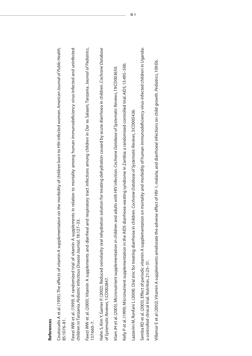References **References**

Coutsoudis A et al. (1995). The effects of vitamin A supplementation on the morbidity of children born to HIV-infected women. *American Journal of Public Health,*  Coutsoudis A et al. (1995). The effects of vitamin A supplementation on the morbidity of children born to HIV-infected women. American Journal of Public Health, 85:1076–81.  $85:1076 - 81$ .

Fawzi WW et al. (1999). A randomized trial of vitamin A supplements in relation to mortality among human immunodeficiency virus-infected and uninfected Fawzi WW et al. (1999). A randomized trial of vitamin A supplements in relation to mortality among human immunodeficiency virus-infected and uninfected children in Tanzania. *Pediatric Infectious Disease Journal*, 18:127–33. children in Tanzania. Pediatric Infectious Disease Journal, 18:127-33. Fawzi WW et al. (2000). Vitamin A supplements and diarrheal and respiratory tract infections among children in Dar es Salaam, Tanzania. Journal of Pediatrics, Fawzi WW et al. (2000). Vitamin A supplements and diarrheal and respiratory tract infections among children in Dar es Salaam, Tanzania. *Journal of Pediatrics*, 137:660–7. 137:660-7.

Hahn S, Kim Y, Garner P. (2002). Reduced osmolarity oral rehydration solution for treating dehydration caused by acute diarrhoea in children. *Cochrane Database*  Hahn S, Kim Y, Garner P. (2002). Reduced osmolarity oral rehydration solution for treating dehydration caused by acute diarrhoea in children. Cochrane Database of Systematic Reviews, 1:CD002847. *of Systematic Reviews*, 1:CD002847.

Irlam JH et al. (2005). Micronutrient supplementation in children and adults with HIV infection. *Cochrane Database of Systematic Reviews*, 19:CD003650. Irlam JH et al. (2005). Micronutrient supplementation in children and adults with HIV infection. Cochrane Database of Systematic Reviews, 19:CD003650. Kelly P et al. (1999). Micronutrient supplementation in the AIDS diarrhoea-wasting syndrome in Zambia: a randomized controlled trial. AIDS, 13:495-500. Kelly P et al. (1999). Micronutrient supplementation in the AIDS diarrhoea-wasting syndrome in Zambia: a randomized controlled trial. *AIDS*, 13:495–500.

Lazzerini M, Ronfani L (2008). Oral zinc for treating diarrhoea in children. Cochrane Database of Systematic Reviews, 3:CD005436. Lazzerini M, Ronfani L (2008). Oral zinc for treating diarrhoea in children. *Cochrane Database of Systematic Reviews*, 3:CD005436.

Semba RD et al. (2005). Effect of periodic vitamin A supplementation on mortality and morbidity of human immunodeficiency virus-infected children in Uganda: Semba RD et al. (2005). Effect of periodic vitamin A supplementation on mortality and morbidity of human immunodeficiency virus-infected children in Uganda: a controlled clinical trial. Nutrition, 21:25-31. a controlled clinical trial. *Nutrition*, 21:25–31.

Villamor E et al (2002). Vitamin A supplements ameliorate the adverse effect of HIV-1, malaria, and diarrhoeal infections on child growth. Pediatrics, 109:E6. Villamor E et al (2002). Vitamin A supplements ameliorate the adverse effect of HIV-1, malaria, and diarrhoeal infections on child growth. *Pediatrics*, 109:E6.